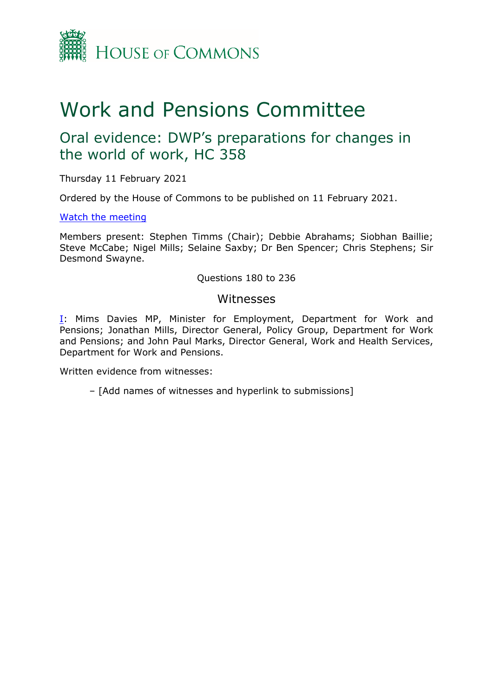

# Work and Pensions Committee

## Oral evidence: DWP's preparations for changes in the world of work, HC 358

Thursday 11 February 2021

Ordered by the House of Commons to be published on 11 February 2021.

## [Watch](https://parliamentlive.tv/Event/Index/fd6065d0-eb92-4d4c-9f71-2cc26030a233) [the](https://parliamentlive.tv/Event/Index/fd6065d0-eb92-4d4c-9f71-2cc26030a233) [meeting](https://parliamentlive.tv/Event/Index/fd6065d0-eb92-4d4c-9f71-2cc26030a233)

Members present: Stephen Timms (Chair); Debbie Abrahams; Siobhan Baillie; Steve McCabe; Nigel Mills; Selaine Saxby; Dr Ben Spencer; Chris Stephens; Sir Desmond Swayne.

## Questions 180 to 236

## Witnesses

**[I:](#page-1-0)** Mims Davies MP, Minister for Employment, Department for Work and Pensions; Jonathan Mills, Director General, Policy Group, Department for Work and Pensions; and John Paul Marks, Director General, Work and Health Services, Department for Work and Pensions.

Written evidence from witnesses:

– [Add names of witnesses and hyperlink to submissions]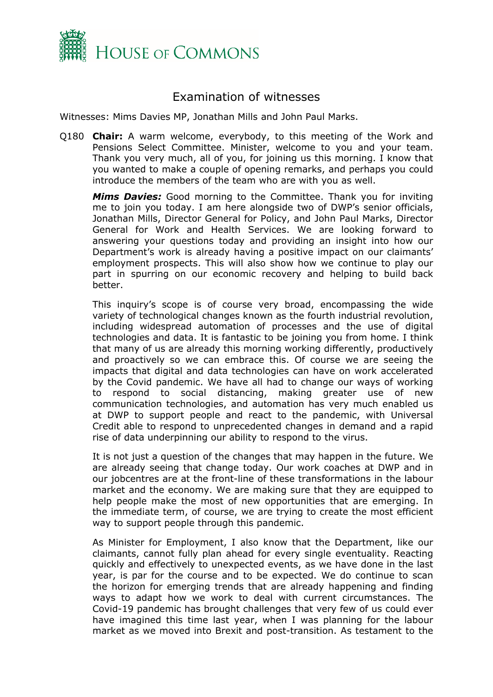

## <span id="page-1-0"></span>Examination of witnesses

Witnesses: Mims Davies MP, Jonathan Mills and John Paul Marks.

Q180 **Chair:** A warm welcome, everybody, to this meeting of the Work and Pensions Select Committee. Minister, welcome to you and your team. Thank you very much, all of you, for joining us this morning. I know that you wanted to make a couple of opening remarks, and perhaps you could introduce the members of the team who are with you as well.

*Mims Davies:* Good morning to the Committee. Thank you for inviting me to join you today. I am here alongside two of DWP's senior officials, Jonathan Mills, Director General for Policy, and John Paul Marks, Director General for Work and Health Services. We are looking forward to answering your questions today and providing an insight into how our Department's work is already having a positive impact on our claimants' employment prospects. This will also show how we continue to play our part in spurring on our economic recovery and helping to build back better.

This inquiry's scope is of course very broad, encompassing the wide variety of technological changes known as the fourth industrial revolution, including widespread automation of processes and the use of digital technologies and data. It is fantastic to be joining you from home. I think that many of us are already this morning working differently, productively and proactively so we can embrace this. Of course we are seeing the impacts that digital and data technologies can have on work accelerated by the Covid pandemic. We have all had to change our ways of working to respond to social distancing, making greater use of new communication technologies, and automation has very much enabled us at DWP to support people and react to the pandemic, with Universal Credit able to respond to unprecedented changes in demand and a rapid rise of data underpinning our ability to respond to the virus.

It is not just a question of the changes that may happen in the future. We are already seeing that change today. Our work coaches at DWP and in our jobcentres are at the front-line of these transformations in the labour market and the economy. We are making sure that they are equipped to help people make the most of new opportunities that are emerging. In the immediate term, of course, we are trying to create the most efficient way to support people through this pandemic.

As Minister for Employment, I also know that the Department, like our claimants, cannot fully plan ahead for every single eventuality. Reacting quickly and effectively to unexpected events, as we have done in the last year, is par for the course and to be expected. We do continue to scan the horizon for emerging trends that are already happening and finding ways to adapt how we work to deal with current circumstances. The Covid-19 pandemic has brought challenges that very few of us could ever have imagined this time last year, when I was planning for the labour market as we moved into Brexit and post-transition. As testament to the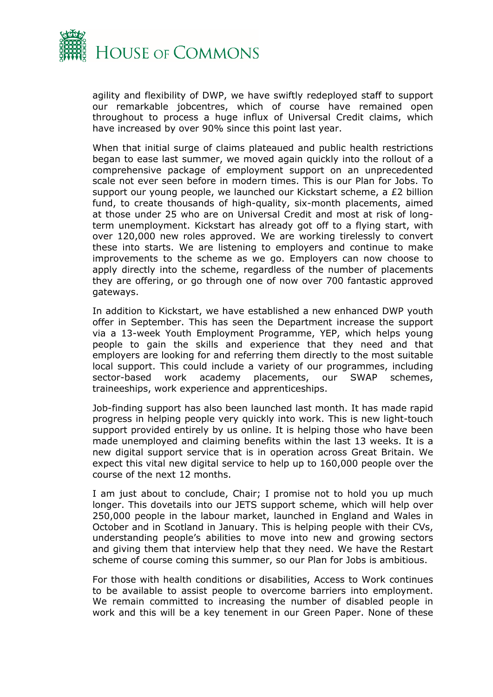

agility and flexibility of DWP, we have swiftly redeployed staff to support our remarkable jobcentres, which of course have remained open throughout to process a huge influx of Universal Credit claims, which have increased by over 90% since this point last year.

When that initial surge of claims plateaued and public health restrictions began to ease last summer, we moved again quickly into the rollout of a comprehensive package of employment support on an unprecedented scale not ever seen before in modern times. This is our Plan for Jobs. To support our young people, we launched our Kickstart scheme, a £2 billion fund, to create thousands of high-quality, six-month placements, aimed at those under 25 who are on Universal Credit and most at risk of longterm unemployment. Kickstart has already got off to a flying start, with over 120,000 new roles approved. We are working tirelessly to convert these into starts. We are listening to employers and continue to make improvements to the scheme as we go. Employers can now choose to apply directly into the scheme, regardless of the number of placements they are offering, or go through one of now over 700 fantastic approved gateways.

In addition to Kickstart, we have established a new enhanced DWP youth offer in September. This has seen the Department increase the support via a 13-week Youth Employment Programme, YEP, which helps young people to gain the skills and experience that they need and that employers are looking for and referring them directly to the most suitable local support. This could include a variety of our programmes, including sector-based work academy placements, our SWAP schemes, traineeships, work experience and apprenticeships.

Job-finding support has also been launched last month. It has made rapid progress in helping people very quickly into work. This is new light-touch support provided entirely by us online. It is helping those who have been made unemployed and claiming benefits within the last 13 weeks. It is a new digital support service that is in operation across Great Britain. We expect this vital new digital service to help up to 160,000 people over the course of the next 12 months.

I am just about to conclude, Chair; I promise not to hold you up much longer. This dovetails into our JETS support scheme, which will help over 250,000 people in the labour market, launched in England and Wales in October and in Scotland in January. This is helping people with their CVs, understanding people's abilities to move into new and growing sectors and giving them that interview help that they need. We have the Restart scheme of course coming this summer, so our Plan for Jobs is ambitious.

For those with health conditions or disabilities, Access to Work continues to be available to assist people to overcome barriers into employment. We remain committed to increasing the number of disabled people in work and this will be a key tenement in our Green Paper. None of these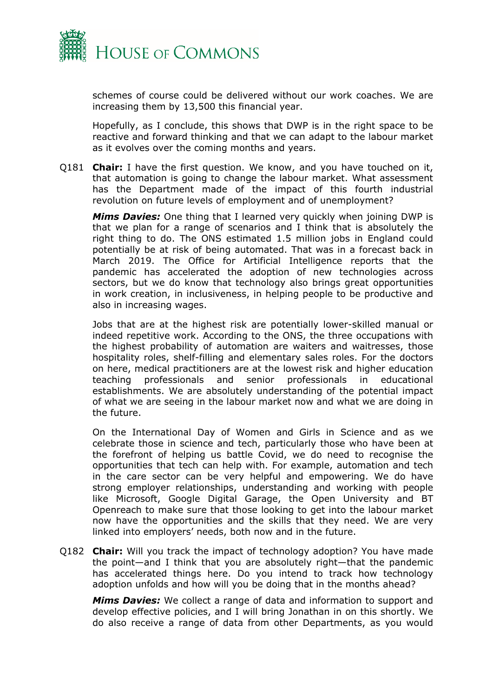

schemes of course could be delivered without our work coaches. We are increasing them by 13,500 this financial year.

Hopefully, as I conclude, this shows that DWP is in the right space to be reactive and forward thinking and that we can adapt to the labour market as it evolves over the coming months and years.

Q181 **Chair:** I have the first question. We know, and you have touched on it, that automation is going to change the labour market. What assessment has the Department made of the impact of this fourth industrial revolution on future levels of employment and of unemployment?

*Mims Davies:* One thing that I learned very quickly when joining DWP is that we plan for a range of scenarios and I think that is absolutely the right thing to do. The ONS estimated 1.5 million jobs in England could potentially be at risk of being automated. That was in a forecast back in March 2019. The Office for Artificial Intelligence reports that the pandemic has accelerated the adoption of new technologies across sectors, but we do know that technology also brings great opportunities in work creation, in inclusiveness, in helping people to be productive and also in increasing wages.

Jobs that are at the highest risk are potentially lower-skilled manual or indeed repetitive work. According to the ONS, the three occupations with the highest probability of automation are waiters and waitresses, those hospitality roles, shelf-filling and elementary sales roles. For the doctors on here, medical practitioners are at the lowest risk and higher education teaching professionals and senior professionals in educational establishments. We are absolutely understanding of the potential impact of what we are seeing in the labour market now and what we are doing in the future.

On the International Day of Women and Girls in Science and as we celebrate those in science and tech, particularly those who have been at the forefront of helping us battle Covid, we do need to recognise the opportunities that tech can help with. For example, automation and tech in the care sector can be very helpful and empowering. We do have strong employer relationships, understanding and working with people like Microsoft, Google Digital Garage, the Open University and BT Openreach to make sure that those looking to get into the labour market now have the opportunities and the skills that they need. We are very linked into employers' needs, both now and in the future.

Q182 **Chair:** Will you track the impact of technology adoption? You have made the point—and I think that you are absolutely right—that the pandemic has accelerated things here. Do you intend to track how technology adoption unfolds and how will you be doing that in the months ahead?

*Mims Davies:* We collect a range of data and information to support and develop effective policies, and I will bring Jonathan in on this shortly. We do also receive a range of data from other Departments, as you would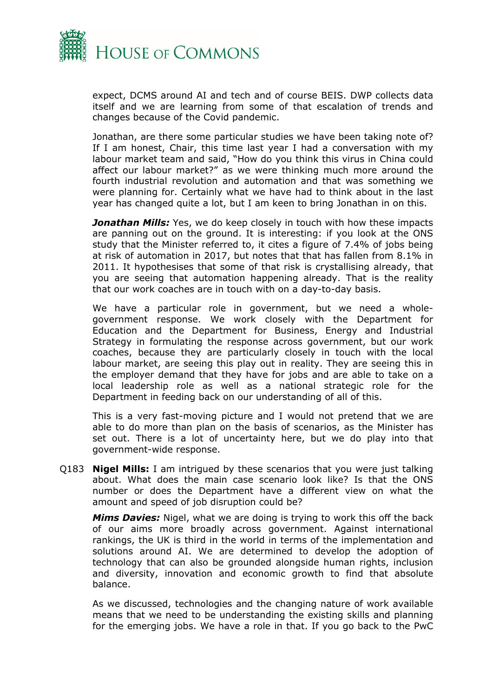

expect, DCMS around AI and tech and of course BEIS. DWP collects data itself and we are learning from some of that escalation of trends and changes because of the Covid pandemic.

Jonathan, are there some particular studies we have been taking note of? If I am honest, Chair, this time last year I had a conversation with my labour market team and said, "How do you think this virus in China could affect our labour market?" as we were thinking much more around the fourth industrial revolution and automation and that was something we were planning for. Certainly what we have had to think about in the last year has changed quite a lot, but I am keen to bring Jonathan in on this.

*Jonathan Mills:* Yes, we do keep closely in touch with how these impacts are panning out on the ground. It is interesting: if you look at the ONS study that the Minister referred to, it cites a figure of 7.4% of jobs being at risk of automation in 2017, but notes that that has fallen from 8.1% in 2011. It hypothesises that some of that risk is crystallising already, that you are seeing that automation happening already. That is the reality that our work coaches are in touch with on a day-to-day basis.

We have a particular role in government, but we need a wholegovernment response. We work closely with the Department for Education and the Department for Business, Energy and Industrial Strategy in formulating the response across government, but our work coaches, because they are particularly closely in touch with the local labour market, are seeing this play out in reality. They are seeing this in the employer demand that they have for jobs and are able to take on a local leadership role as well as a national strategic role for the Department in feeding back on our understanding of all of this.

This is a very fast-moving picture and I would not pretend that we are able to do more than plan on the basis of scenarios, as the Minister has set out. There is a lot of uncertainty here, but we do play into that government-wide response.

Q183 **Nigel Mills:** I am intrigued by these scenarios that you were just talking about. What does the main case scenario look like? Is that the ONS number or does the Department have a different view on what the amount and speed of job disruption could be?

*Mims Davies:* Nigel, what we are doing is trying to work this off the back of our aims more broadly across government. Against international rankings, the UK is third in the world in terms of the implementation and solutions around AI. We are determined to develop the adoption of technology that can also be grounded alongside human rights, inclusion and diversity, innovation and economic growth to find that absolute balance.

As we discussed, technologies and the changing nature of work available means that we need to be understanding the existing skills and planning for the emerging jobs. We have a role in that. If you go back to the PwC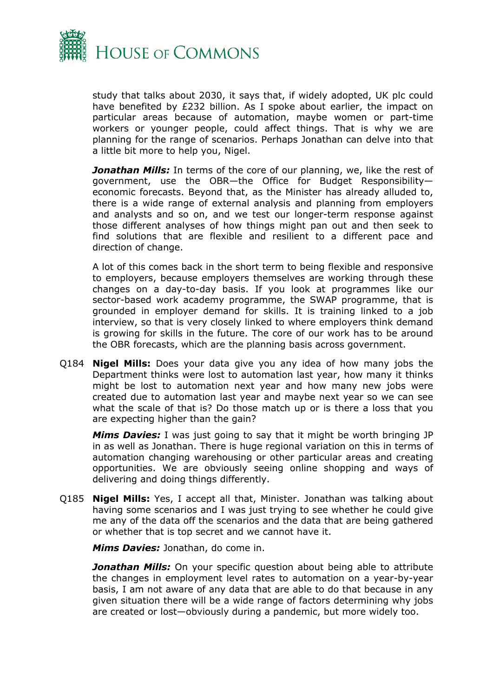

study that talks about 2030, it says that, if widely adopted, UK plc could have benefited by £232 billion. As I spoke about earlier, the impact on particular areas because of automation, maybe women or part-time workers or younger people, could affect things. That is why we are planning for the range of scenarios. Perhaps Jonathan can delve into that a little bit more to help you, Nigel.

*Jonathan Mills:* In terms of the core of our planning, we, like the rest of government, use the OBR—the Office for Budget Responsibility economic forecasts. Beyond that, as the Minister has already alluded to, there is a wide range of external analysis and planning from employers and analysts and so on, and we test our longer-term response against those different analyses of how things might pan out and then seek to find solutions that are flexible and resilient to a different pace and direction of change.

A lot of this comes back in the short term to being flexible and responsive to employers, because employers themselves are working through these changes on a day-to-day basis. If you look at programmes like our sector-based work academy programme, the SWAP programme, that is grounded in employer demand for skills. It is training linked to a job interview, so that is very closely linked to where employers think demand is growing for skills in the future. The core of our work has to be around the OBR forecasts, which are the planning basis across government.

Q184 **Nigel Mills:** Does your data give you any idea of how many jobs the Department thinks were lost to automation last year, how many it thinks might be lost to automation next year and how many new jobs were created due to automation last year and maybe next year so we can see what the scale of that is? Do those match up or is there a loss that you are expecting higher than the gain?

*Mims Davies:* I was just going to say that it might be worth bringing JP in as well as Jonathan. There is huge regional variation on this in terms of automation changing warehousing or other particular areas and creating opportunities. We are obviously seeing online shopping and ways of delivering and doing things differently.

Q185 **Nigel Mills:** Yes, I accept all that, Minister. Jonathan was talking about having some scenarios and I was just trying to see whether he could give me any of the data off the scenarios and the data that are being gathered or whether that is top secret and we cannot have it.

*Mims Davies:* Jonathan, do come in.

*Jonathan Mills:* On your specific question about being able to attribute the changes in employment level rates to automation on a year-by-year basis, I am not aware of any data that are able to do that because in any given situation there will be a wide range of factors determining why jobs are created or lost—obviously during a pandemic, but more widely too.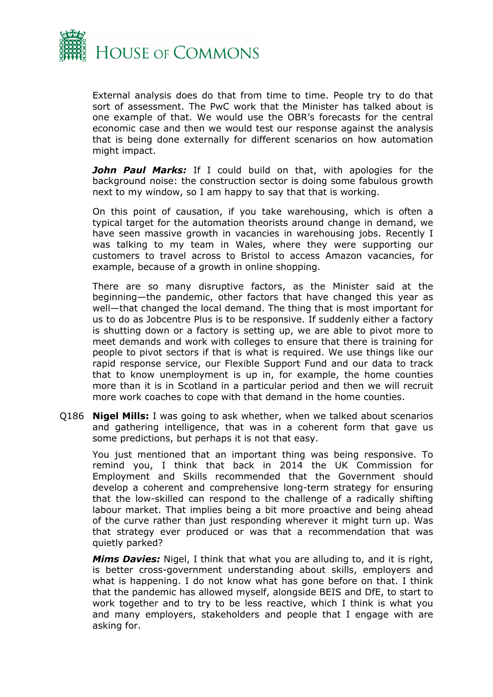

External analysis does do that from time to time. People try to do that sort of assessment. The PwC work that the Minister has talked about is one example of that. We would use the OBR's forecasts for the central economic case and then we would test our response against the analysis that is being done externally for different scenarios on how automation might impact.

*John Paul Marks:* If I could build on that, with apologies for the background noise: the construction sector is doing some fabulous growth next to my window, so I am happy to say that that is working.

On this point of causation, if you take warehousing, which is often a typical target for the automation theorists around change in demand, we have seen massive growth in vacancies in warehousing jobs. Recently I was talking to my team in Wales, where they were supporting our customers to travel across to Bristol to access Amazon vacancies, for example, because of a growth in online shopping.

There are so many disruptive factors, as the Minister said at the beginning—the pandemic, other factors that have changed this year as well—that changed the local demand. The thing that is most important for us to do as Jobcentre Plus is to be responsive. If suddenly either a factory is shutting down or a factory is setting up, we are able to pivot more to meet demands and work with colleges to ensure that there is training for people to pivot sectors if that is what is required. We use things like our rapid response service, our Flexible Support Fund and our data to track that to know unemployment is up in, for example, the home counties more than it is in Scotland in a particular period and then we will recruit more work coaches to cope with that demand in the home counties.

Q186 **Nigel Mills:** I was going to ask whether, when we talked about scenarios and gathering intelligence, that was in a coherent form that gave us some predictions, but perhaps it is not that easy.

You just mentioned that an important thing was being responsive. To remind you, I think that back in 2014 the UK Commission for Employment and Skills recommended that the Government should develop a coherent and comprehensive long-term strategy for ensuring that the low-skilled can respond to the challenge of a radically shifting labour market. That implies being a bit more proactive and being ahead of the curve rather than just responding wherever it might turn up. Was that strategy ever produced or was that a recommendation that was quietly parked?

*Mims Davies:* Nigel, I think that what you are alluding to, and it is right, is better cross-government understanding about skills, employers and what is happening. I do not know what has gone before on that. I think that the pandemic has allowed myself, alongside BEIS and DfE, to start to work together and to try to be less reactive, which I think is what you and many employers, stakeholders and people that I engage with are asking for.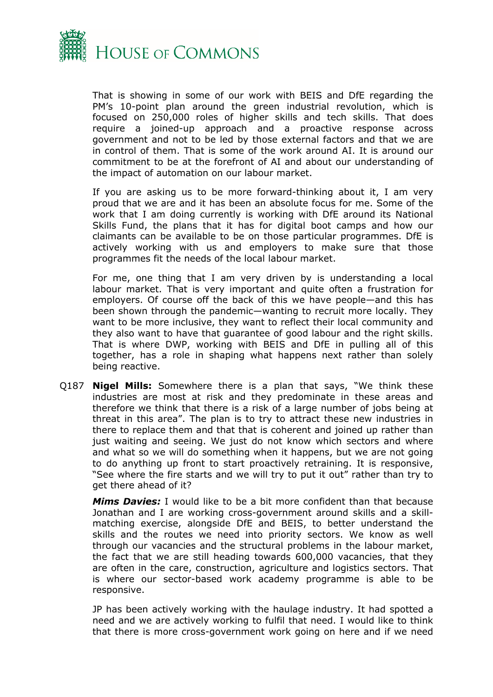

That is showing in some of our work with BEIS and DfE regarding the PM's 10-point plan around the green industrial revolution, which is focused on 250,000 roles of higher skills and tech skills. That does require a joined-up approach and a proactive response across government and not to be led by those external factors and that we are in control of them. That is some of the work around AI. It is around our commitment to be at the forefront of AI and about our understanding of the impact of automation on our labour market.

If you are asking us to be more forward-thinking about it, I am very proud that we are and it has been an absolute focus for me. Some of the work that I am doing currently is working with DfE around its National Skills Fund, the plans that it has for digital boot camps and how our claimants can be available to be on those particular programmes. DfE is actively working with us and employers to make sure that those programmes fit the needs of the local labour market.

For me, one thing that I am very driven by is understanding a local labour market. That is very important and quite often a frustration for employers. Of course off the back of this we have people—and this has been shown through the pandemic—wanting to recruit more locally. They want to be more inclusive, they want to reflect their local community and they also want to have that guarantee of good labour and the right skills. That is where DWP, working with BEIS and DfE in pulling all of this together, has a role in shaping what happens next rather than solely being reactive.

Q187 **Nigel Mills:** Somewhere there is a plan that says, "We think these industries are most at risk and they predominate in these areas and therefore we think that there is a risk of a large number of jobs being at threat in this area". The plan is to try to attract these new industries in there to replace them and that that is coherent and joined up rather than just waiting and seeing. We just do not know which sectors and where and what so we will do something when it happens, but we are not going to do anything up front to start proactively retraining. It is responsive, "See where the fire starts and we will try to put it out" rather than try to get there ahead of it?

*Mims Davies:* I would like to be a bit more confident than that because Jonathan and I are working cross-government around skills and a skillmatching exercise, alongside DfE and BEIS, to better understand the skills and the routes we need into priority sectors. We know as well through our vacancies and the structural problems in the labour market, the fact that we are still heading towards 600,000 vacancies, that they are often in the care, construction, agriculture and logistics sectors. That is where our sector-based work academy programme is able to be responsive.

JP has been actively working with the haulage industry. It had spotted a need and we are actively working to fulfil that need. I would like to think that there is more cross-government work going on here and if we need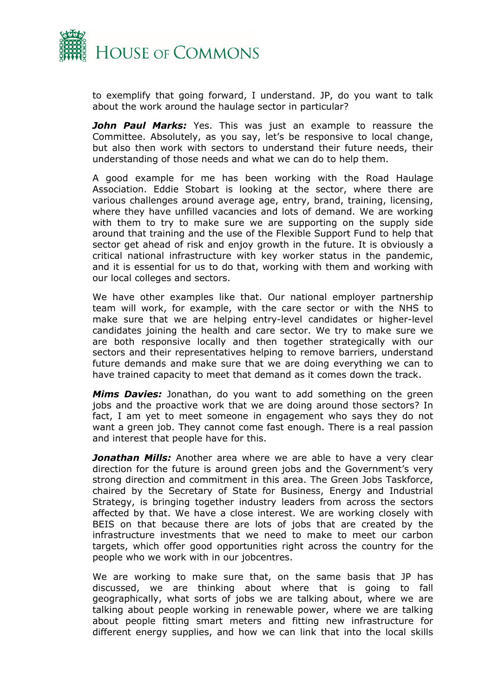

to exemplify that going forward, I understand. JP, do you want to talk about the work around the haulage sector in particular?

*John Paul Marks:* Yes. This was just an example to reassure the Committee. Absolutely, as you say, let's be responsive to local change, but also then work with sectors to understand their future needs, their understanding of those needs and what we can do to help them.

A good example for me has been working with the Road Haulage Association. Eddie Stobart is looking at the sector, where there are various challenges around average age, entry, brand, training, licensing, where they have unfilled vacancies and lots of demand. We are working with them to try to make sure we are supporting on the supply side around that training and the use of the Flexible Support Fund to help that sector get ahead of risk and enjoy growth in the future. It is obviously a critical national infrastructure with key worker status in the pandemic, and it is essential for us to do that, working with them and working with our local colleges and sectors.

We have other examples like that. Our national employer partnership team will work, for example, with the care sector or with the NHS to make sure that we are helping entry-level candidates or higher-level candidates joining the health and care sector. We try to make sure we are both responsive locally and then together strategically with our sectors and their representatives helping to remove barriers, understand future demands and make sure that we are doing everything we can to have trained capacity to meet that demand as it comes down the track.

*Mims Davies:* Jonathan, do you want to add something on the green jobs and the proactive work that we are doing around those sectors? In fact, I am yet to meet someone in engagement who says they do not want a green job. They cannot come fast enough. There is a real passion and interest that people have for this.

*Jonathan Mills:* Another area where we are able to have a very clear direction for the future is around green jobs and the Government's very strong direction and commitment in this area. The Green Jobs Taskforce, chaired by the Secretary of State for Business, Energy and Industrial Strategy, is bringing together industry leaders from across the sectors affected by that. We have a close interest. We are working closely with BEIS on that because there are lots of jobs that are created by the infrastructure investments that we need to make to meet our carbon targets, which offer good opportunities right across the country for the people who we work with in our jobcentres.

We are working to make sure that, on the same basis that JP has discussed, we are thinking about where that is going to fall geographically, what sorts of jobs we are talking about, where we are talking about people working in renewable power, where we are talking about people fitting smart meters and fitting new infrastructure for different energy supplies, and how we can link that into the local skills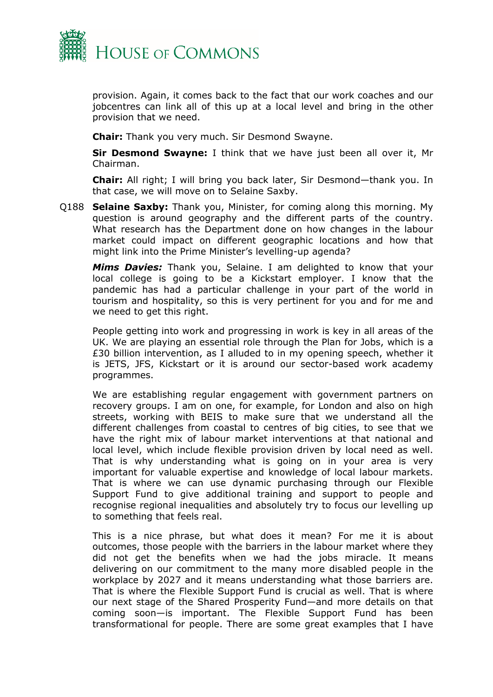

provision. Again, it comes back to the fact that our work coaches and our jobcentres can link all of this up at a local level and bring in the other provision that we need.

**Chair:** Thank you very much. Sir Desmond Swayne.

**Sir Desmond Swayne:** I think that we have just been all over it, Mr Chairman.

**Chair:** All right; I will bring you back later, Sir Desmond—thank you. In that case, we will move on to Selaine Saxby.

Q188 **Selaine Saxby:** Thank you, Minister, for coming along this morning. My question is around geography and the different parts of the country. What research has the Department done on how changes in the labour market could impact on different geographic locations and how that might link into the Prime Minister's levelling-up agenda?

*Mims Davies:* Thank you, Selaine. I am delighted to know that your local college is going to be a Kickstart employer. I know that the pandemic has had a particular challenge in your part of the world in tourism and hospitality, so this is very pertinent for you and for me and we need to get this right.

People getting into work and progressing in work is key in all areas of the UK. We are playing an essential role through the Plan for Jobs, which is a £30 billion intervention, as I alluded to in my opening speech, whether it is JETS, JFS, Kickstart or it is around our sector-based work academy programmes.

We are establishing regular engagement with government partners on recovery groups. I am on one, for example, for London and also on high streets, working with BEIS to make sure that we understand all the different challenges from coastal to centres of big cities, to see that we have the right mix of labour market interventions at that national and local level, which include flexible provision driven by local need as well. That is why understanding what is going on in your area is very important for valuable expertise and knowledge of local labour markets. That is where we can use dynamic purchasing through our Flexible Support Fund to give additional training and support to people and recognise regional inequalities and absolutely try to focus our levelling up to something that feels real.

This is a nice phrase, but what does it mean? For me it is about outcomes, those people with the barriers in the labour market where they did not get the benefits when we had the jobs miracle. It means delivering on our commitment to the many more disabled people in the workplace by 2027 and it means understanding what those barriers are. That is where the Flexible Support Fund is crucial as well. That is where our next stage of the Shared Prosperity Fund—and more details on that coming soon—is important. The Flexible Support Fund has been transformational for people. There are some great examples that I have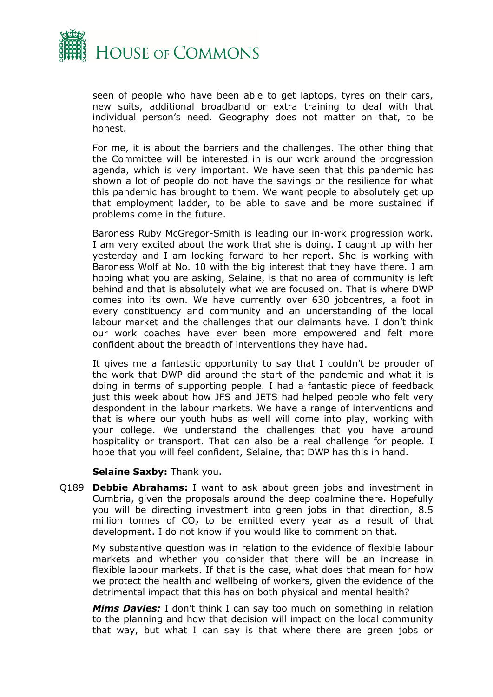

seen of people who have been able to get laptops, tyres on their cars, new suits, additional broadband or extra training to deal with that individual person's need. Geography does not matter on that, to be honest.

For me, it is about the barriers and the challenges. The other thing that the Committee will be interested in is our work around the progression agenda, which is very important. We have seen that this pandemic has shown a lot of people do not have the savings or the resilience for what this pandemic has brought to them. We want people to absolutely get up that employment ladder, to be able to save and be more sustained if problems come in the future.

Baroness Ruby McGregor-Smith is leading our in-work progression work. I am very excited about the work that she is doing. I caught up with her yesterday and I am looking forward to her report. She is working with Baroness Wolf at No. 10 with the big interest that they have there. I am hoping what you are asking, Selaine, is that no area of community is left behind and that is absolutely what we are focused on. That is where DWP comes into its own. We have currently over 630 jobcentres, a foot in every constituency and community and an understanding of the local labour market and the challenges that our claimants have. I don't think our work coaches have ever been more empowered and felt more confident about the breadth of interventions they have had.

It gives me a fantastic opportunity to say that I couldn't be prouder of the work that DWP did around the start of the pandemic and what it is doing in terms of supporting people. I had a fantastic piece of feedback just this week about how JFS and JETS had helped people who felt very despondent in the labour markets. We have a range of interventions and that is where our youth hubs as well will come into play, working with your college. We understand the challenges that you have around hospitality or transport. That can also be a real challenge for people. I hope that you will feel confident, Selaine, that DWP has this in hand.

#### **Selaine Saxby:** Thank you.

Q189 **Debbie Abrahams:** I want to ask about green jobs and investment in Cumbria, given the proposals around the deep coalmine there. Hopefully you will be directing investment into green jobs in that direction, 8.5 million tonnes of  $CO<sub>2</sub>$  to be emitted every year as a result of that development. I do not know if you would like to comment on that.

My substantive question was in relation to the evidence of flexible labour markets and whether you consider that there will be an increase in flexible labour markets. If that is the case, what does that mean for how we protect the health and wellbeing of workers, given the evidence of the detrimental impact that this has on both physical and mental health?

*Mims Davies:* I don't think I can say too much on something in relation to the planning and how that decision will impact on the local community that way, but what I can say is that where there are green jobs or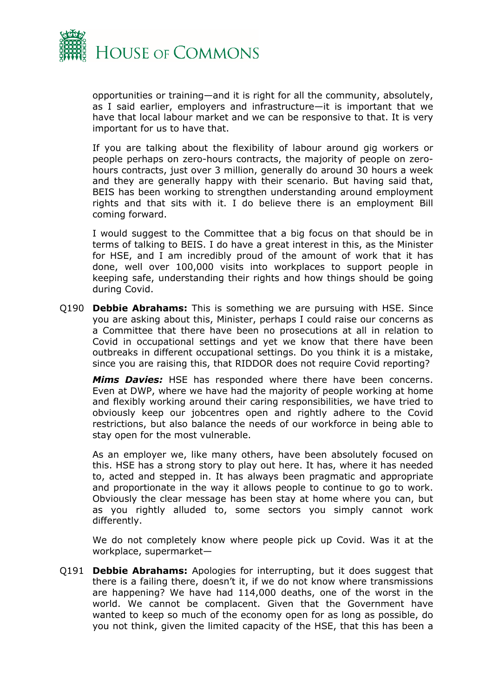

opportunities or training—and it is right for all the community, absolutely, as I said earlier, employers and infrastructure—it is important that we have that local labour market and we can be responsive to that. It is very important for us to have that.

If you are talking about the flexibility of labour around gig workers or people perhaps on zero-hours contracts, the majority of people on zerohours contracts, just over 3 million, generally do around 30 hours a week and they are generally happy with their scenario. But having said that, BEIS has been working to strengthen understanding around employment rights and that sits with it. I do believe there is an employment Bill coming forward.

I would suggest to the Committee that a big focus on that should be in terms of talking to BEIS. I do have a great interest in this, as the Minister for HSE, and I am incredibly proud of the amount of work that it has done, well over 100,000 visits into workplaces to support people in keeping safe, understanding their rights and how things should be going during Covid.

Q190 **Debbie Abrahams:** This is something we are pursuing with HSE. Since you are asking about this, Minister, perhaps I could raise our concerns as a Committee that there have been no prosecutions at all in relation to Covid in occupational settings and yet we know that there have been outbreaks in different occupational settings. Do you think it is a mistake, since you are raising this, that RIDDOR does not require Covid reporting?

*Mims Davies:* HSE has responded where there have been concerns. Even at DWP, where we have had the majority of people working at home and flexibly working around their caring responsibilities, we have tried to obviously keep our jobcentres open and rightly adhere to the Covid restrictions, but also balance the needs of our workforce in being able to stay open for the most vulnerable.

As an employer we, like many others, have been absolutely focused on this. HSE has a strong story to play out here. It has, where it has needed to, acted and stepped in. It has always been pragmatic and appropriate and proportionate in the way it allows people to continue to go to work. Obviously the clear message has been stay at home where you can, but as you rightly alluded to, some sectors you simply cannot work differently.

We do not completely know where people pick up Covid. Was it at the workplace, supermarket—

Q191 **Debbie Abrahams:** Apologies for interrupting, but it does suggest that there is a failing there, doesn't it, if we do not know where transmissions are happening? We have had 114,000 deaths, one of the worst in the world. We cannot be complacent. Given that the Government have wanted to keep so much of the economy open for as long as possible, do you not think, given the limited capacity of the HSE, that this has been a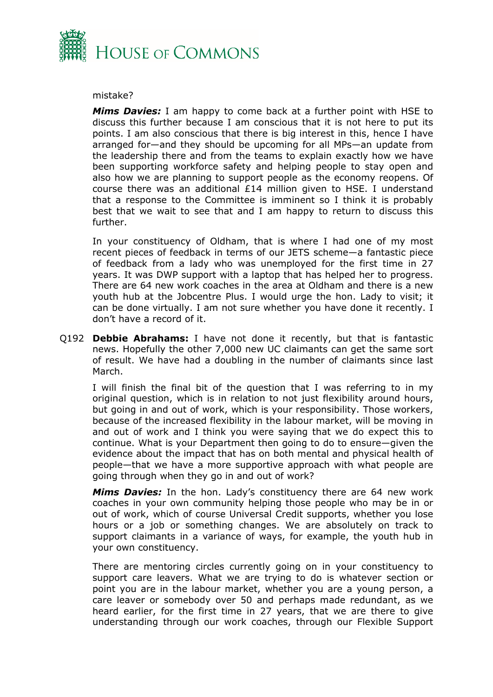

### mistake?

*Mims Davies:* I am happy to come back at a further point with HSE to discuss this further because I am conscious that it is not here to put its points. I am also conscious that there is big interest in this, hence I have arranged for—and they should be upcoming for all MPs—an update from the leadership there and from the teams to explain exactly how we have been supporting workforce safety and helping people to stay open and also how we are planning to support people as the economy reopens. Of course there was an additional £14 million given to HSE. I understand that a response to the Committee is imminent so I think it is probably best that we wait to see that and I am happy to return to discuss this further.

In your constituency of Oldham, that is where I had one of my most recent pieces of feedback in terms of our JETS scheme—a fantastic piece of feedback from a lady who was unemployed for the first time in 27 years. It was DWP support with a laptop that has helped her to progress. There are 64 new work coaches in the area at Oldham and there is a new youth hub at the Jobcentre Plus. I would urge the hon. Lady to visit; it can be done virtually. I am not sure whether you have done it recently. I don't have a record of it.

Q192 **Debbie Abrahams:** I have not done it recently, but that is fantastic news. Hopefully the other 7,000 new UC claimants can get the same sort of result. We have had a doubling in the number of claimants since last March.

I will finish the final bit of the question that I was referring to in my original question, which is in relation to not just flexibility around hours, but going in and out of work, which is your responsibility. Those workers, because of the increased flexibility in the labour market, will be moving in and out of work and I think you were saying that we do expect this to continue. What is your Department then going to do to ensure—given the evidence about the impact that has on both mental and physical health of people—that we have a more supportive approach with what people are going through when they go in and out of work?

*Mims Davies:* In the hon. Lady's constituency there are 64 new work coaches in your own community helping those people who may be in or out of work, which of course Universal Credit supports, whether you lose hours or a job or something changes. We are absolutely on track to support claimants in a variance of ways, for example, the youth hub in your own constituency.

There are mentoring circles currently going on in your constituency to support care leavers. What we are trying to do is whatever section or point you are in the labour market, whether you are a young person, a care leaver or somebody over 50 and perhaps made redundant, as we heard earlier, for the first time in 27 years, that we are there to give understanding through our work coaches, through our Flexible Support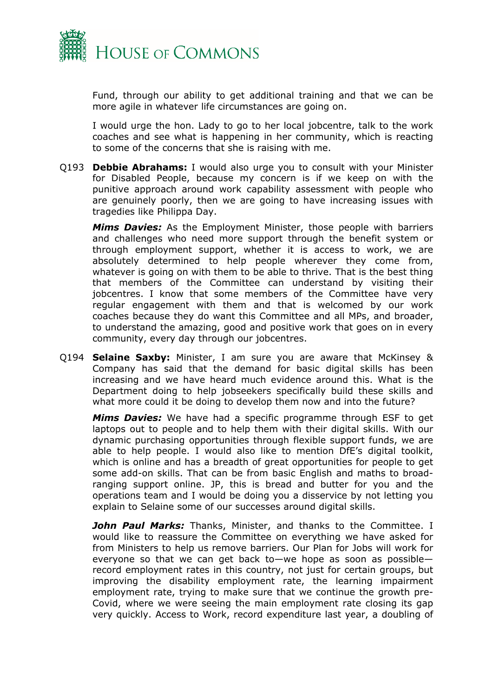

Fund, through our ability to get additional training and that we can be more agile in whatever life circumstances are going on.

I would urge the hon. Lady to go to her local jobcentre, talk to the work coaches and see what is happening in her community, which is reacting to some of the concerns that she is raising with me.

Q193 **Debbie Abrahams:** I would also urge you to consult with your Minister for Disabled People, because my concern is if we keep on with the punitive approach around work capability assessment with people who are genuinely poorly, then we are going to have increasing issues with tragedies like Philippa Day.

*Mims Davies:* As the Employment Minister, those people with barriers and challenges who need more support through the benefit system or through employment support, whether it is access to work, we are absolutely determined to help people wherever they come from, whatever is going on with them to be able to thrive. That is the best thing that members of the Committee can understand by visiting their jobcentres. I know that some members of the Committee have very regular engagement with them and that is welcomed by our work coaches because they do want this Committee and all MPs, and broader, to understand the amazing, good and positive work that goes on in every community, every day through our jobcentres.

Q194 **Selaine Saxby:** Minister, I am sure you are aware that McKinsey & Company has said that the demand for basic digital skills has been increasing and we have heard much evidence around this. What is the Department doing to help jobseekers specifically build these skills and what more could it be doing to develop them now and into the future?

*Mims Davies:* We have had a specific programme through ESF to get laptops out to people and to help them with their digital skills. With our dynamic purchasing opportunities through flexible support funds, we are able to help people. I would also like to mention DfE's digital toolkit, which is online and has a breadth of great opportunities for people to get some add-on skills. That can be from basic English and maths to broadranging support online. JP, this is bread and butter for you and the operations team and I would be doing you a disservice by not letting you explain to Selaine some of our successes around digital skills.

*John Paul Marks:* Thanks, Minister, and thanks to the Committee. I would like to reassure the Committee on everything we have asked for from Ministers to help us remove barriers. Our Plan for Jobs will work for everyone so that we can get back to—we hope as soon as possible record employment rates in this country, not just for certain groups, but improving the disability employment rate, the learning impairment employment rate, trying to make sure that we continue the growth pre-Covid, where we were seeing the main employment rate closing its gap very quickly. Access to Work, record expenditure last year, a doubling of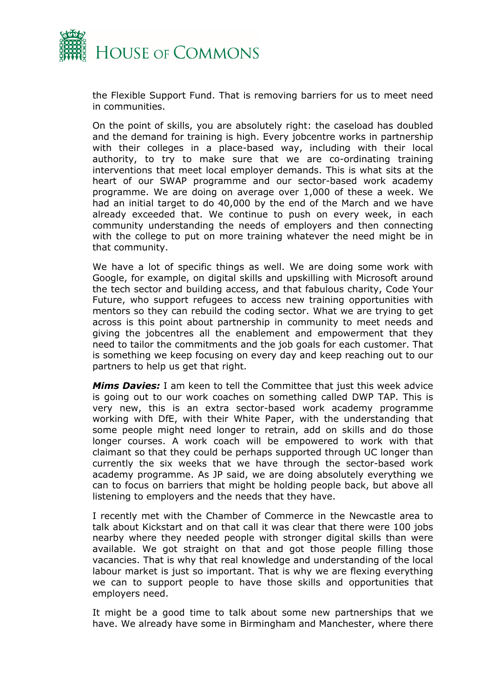

the Flexible Support Fund. That is removing barriers for us to meet need in communities.

On the point of skills, you are absolutely right: the caseload has doubled and the demand for training is high. Every jobcentre works in partnership with their colleges in a place-based way, including with their local authority, to try to make sure that we are co-ordinating training interventions that meet local employer demands. This is what sits at the heart of our SWAP programme and our sector-based work academy programme. We are doing on average over 1,000 of these a week. We had an initial target to do 40,000 by the end of the March and we have already exceeded that. We continue to push on every week, in each community understanding the needs of employers and then connecting with the college to put on more training whatever the need might be in that community.

We have a lot of specific things as well. We are doing some work with Google, for example, on digital skills and upskilling with Microsoft around the tech sector and building access, and that fabulous charity, Code Your Future, who support refugees to access new training opportunities with mentors so they can rebuild the coding sector. What we are trying to get across is this point about partnership in community to meet needs and giving the jobcentres all the enablement and empowerment that they need to tailor the commitments and the job goals for each customer. That is something we keep focusing on every day and keep reaching out to our partners to help us get that right.

*Mims Davies:* I am keen to tell the Committee that just this week advice is going out to our work coaches on something called DWP TAP. This is very new, this is an extra sector-based work academy programme working with DfE, with their White Paper, with the understanding that some people might need longer to retrain, add on skills and do those longer courses. A work coach will be empowered to work with that claimant so that they could be perhaps supported through UC longer than currently the six weeks that we have through the sector-based work academy programme. As JP said, we are doing absolutely everything we can to focus on barriers that might be holding people back, but above all listening to employers and the needs that they have.

I recently met with the Chamber of Commerce in the Newcastle area to talk about Kickstart and on that call it was clear that there were 100 jobs nearby where they needed people with stronger digital skills than were available. We got straight on that and got those people filling those vacancies. That is why that real knowledge and understanding of the local labour market is just so important. That is why we are flexing everything we can to support people to have those skills and opportunities that employers need.

It might be a good time to talk about some new partnerships that we have. We already have some in Birmingham and Manchester, where there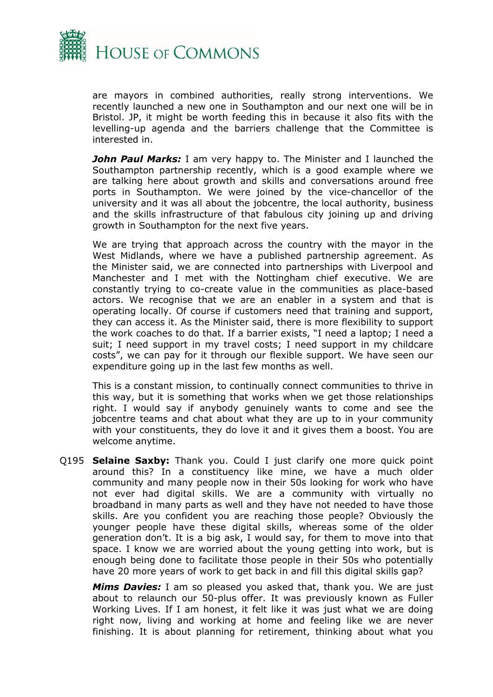

are mayors in combined authorities, really strong interventions. We recently launched a new one in Southampton and our next one will be in Bristol. JP, it might be worth feeding this in because it also fits with the levelling-up agenda and the barriers challenge that the Committee is interested in.

*John Paul Marks:* I am very happy to. The Minister and I launched the Southampton partnership recently, which is a good example where we are talking here about growth and skills and conversations around free ports in Southampton. We were joined by the vice-chancellor of the university and it was all about the jobcentre, the local authority, business and the skills infrastructure of that fabulous city joining up and driving growth in Southampton for the next five years.

We are trying that approach across the country with the mayor in the West Midlands, where we have a published partnership agreement. As the Minister said, we are connected into partnerships with Liverpool and Manchester and I met with the Nottingham chief executive. We are constantly trying to co-create value in the communities as place-based actors. We recognise that we are an enabler in a system and that is operating locally. Of course if customers need that training and support, they can access it. As the Minister said, there is more flexibility to support the work coaches to do that. If a barrier exists, "I need a laptop; I need a suit; I need support in my travel costs; I need support in my childcare costs", we can pay for it through our flexible support. We have seen our expenditure going up in the last few months as well.

This is a constant mission, to continually connect communities to thrive in this way, but it is something that works when we get those relationships right. I would say if anybody genuinely wants to come and see the jobcentre teams and chat about what they are up to in your community with your constituents, they do love it and it gives them a boost. You are welcome anytime.

Q195 **Selaine Saxby:** Thank you. Could I just clarify one more quick point around this? In a constituency like mine, we have a much older community and many people now in their 50s looking for work who have not ever had digital skills. We are a community with virtually no broadband in many parts as well and they have not needed to have those skills. Are you confident you are reaching those people? Obviously the younger people have these digital skills, whereas some of the older generation don't. It is a big ask, I would say, for them to move into that space. I know we are worried about the young getting into work, but is enough being done to facilitate those people in their 50s who potentially have 20 more years of work to get back in and fill this digital skills gap?

*Mims Davies:* I am so pleased you asked that, thank you. We are just about to relaunch our 50-plus offer. It was previously known as Fuller Working Lives. If I am honest, it felt like it was just what we are doing right now, living and working at home and feeling like we are never finishing. It is about planning for retirement, thinking about what you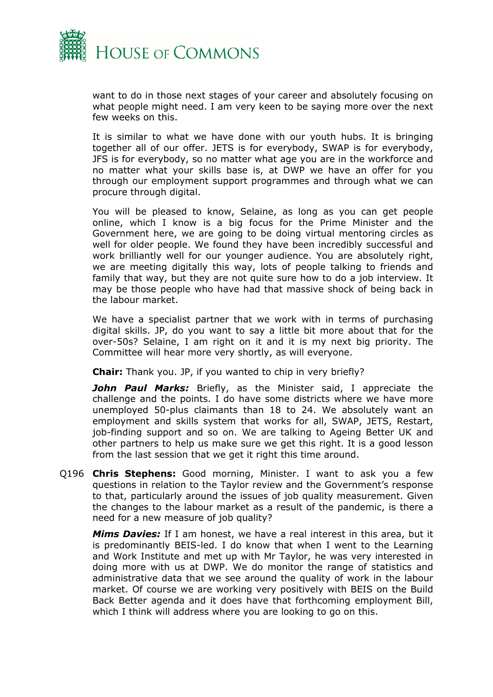

want to do in those next stages of your career and absolutely focusing on what people might need. I am very keen to be saying more over the next few weeks on this.

It is similar to what we have done with our youth hubs. It is bringing together all of our offer. JETS is for everybody, SWAP is for everybody, JFS is for everybody, so no matter what age you are in the workforce and no matter what your skills base is, at DWP we have an offer for you through our employment support programmes and through what we can procure through digital.

You will be pleased to know, Selaine, as long as you can get people online, which I know is a big focus for the Prime Minister and the Government here, we are going to be doing virtual mentoring circles as well for older people. We found they have been incredibly successful and work brilliantly well for our younger audience. You are absolutely right, we are meeting digitally this way, lots of people talking to friends and family that way, but they are not quite sure how to do a job interview. It may be those people who have had that massive shock of being back in the labour market.

We have a specialist partner that we work with in terms of purchasing digital skills. JP, do you want to say a little bit more about that for the over-50s? Selaine, I am right on it and it is my next big priority. The Committee will hear more very shortly, as will everyone.

**Chair:** Thank you. JP, if you wanted to chip in very briefly?

*John Paul Marks:* Briefly, as the Minister said, I appreciate the challenge and the points. I do have some districts where we have more unemployed 50-plus claimants than 18 to 24. We absolutely want an employment and skills system that works for all, SWAP, JETS, Restart, job-finding support and so on. We are talking to Ageing Better UK and other partners to help us make sure we get this right. It is a good lesson from the last session that we get it right this time around.

Q196 **Chris Stephens:** Good morning, Minister. I want to ask you a few questions in relation to the Taylor review and the Government's response to that, particularly around the issues of job quality measurement. Given the changes to the labour market as a result of the pandemic, is there a need for a new measure of job quality?

*Mims Davies:* If I am honest, we have a real interest in this area, but it is predominantly BEIS-led. I do know that when I went to the Learning and Work Institute and met up with Mr Taylor, he was very interested in doing more with us at DWP. We do monitor the range of statistics and administrative data that we see around the quality of work in the labour market. Of course we are working very positively with BEIS on the Build Back Better agenda and it does have that forthcoming employment Bill, which I think will address where you are looking to go on this.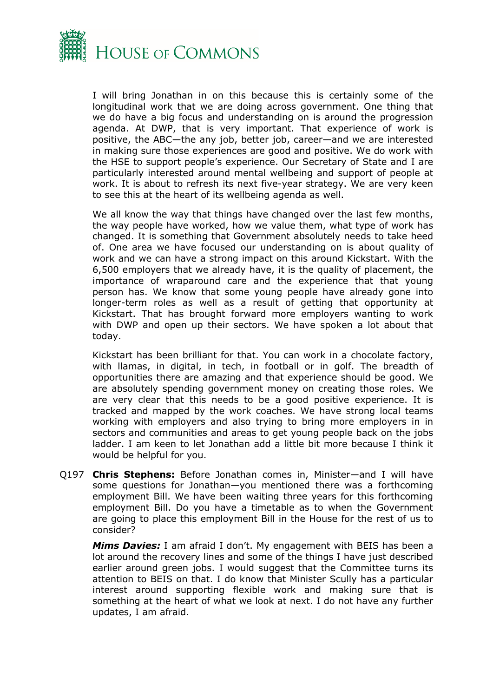

I will bring Jonathan in on this because this is certainly some of the longitudinal work that we are doing across government. One thing that we do have a big focus and understanding on is around the progression agenda. At DWP, that is very important. That experience of work is positive, the ABC—the any job, better job, career—and we are interested in making sure those experiences are good and positive. We do work with the HSE to support people's experience. Our Secretary of State and I are particularly interested around mental wellbeing and support of people at work. It is about to refresh its next five-year strategy. We are very keen to see this at the heart of its wellbeing agenda as well.

We all know the way that things have changed over the last few months, the way people have worked, how we value them, what type of work has changed. It is something that Government absolutely needs to take heed of. One area we have focused our understanding on is about quality of work and we can have a strong impact on this around Kickstart. With the 6,500 employers that we already have, it is the quality of placement, the importance of wraparound care and the experience that that young person has. We know that some young people have already gone into longer-term roles as well as a result of getting that opportunity at Kickstart. That has brought forward more employers wanting to work with DWP and open up their sectors. We have spoken a lot about that today.

Kickstart has been brilliant for that. You can work in a chocolate factory, with llamas, in digital, in tech, in football or in golf. The breadth of opportunities there are amazing and that experience should be good. We are absolutely spending government money on creating those roles. We are very clear that this needs to be a good positive experience. It is tracked and mapped by the work coaches. We have strong local teams working with employers and also trying to bring more employers in in sectors and communities and areas to get young people back on the jobs ladder. I am keen to let Jonathan add a little bit more because I think it would be helpful for you.

Q197 **Chris Stephens:** Before Jonathan comes in, Minister—and I will have some questions for Jonathan—you mentioned there was a forthcoming employment Bill. We have been waiting three years for this forthcoming employment Bill. Do you have a timetable as to when the Government are going to place this employment Bill in the House for the rest of us to consider?

*Mims Davies:* I am afraid I don't. My engagement with BEIS has been a lot around the recovery lines and some of the things I have just described earlier around green jobs. I would suggest that the Committee turns its attention to BEIS on that. I do know that Minister Scully has a particular interest around supporting flexible work and making sure that is something at the heart of what we look at next. I do not have any further updates, I am afraid.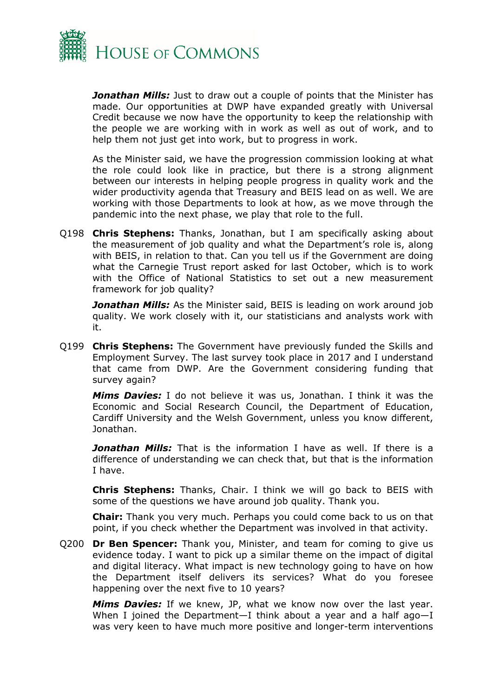

*Jonathan Mills:* Just to draw out a couple of points that the Minister has made. Our opportunities at DWP have expanded greatly with Universal Credit because we now have the opportunity to keep the relationship with the people we are working with in work as well as out of work, and to help them not just get into work, but to progress in work.

As the Minister said, we have the progression commission looking at what the role could look like in practice, but there is a strong alignment between our interests in helping people progress in quality work and the wider productivity agenda that Treasury and BEIS lead on as well. We are working with those Departments to look at how, as we move through the pandemic into the next phase, we play that role to the full.

Q198 **Chris Stephens:** Thanks, Jonathan, but I am specifically asking about the measurement of job quality and what the Department's role is, along with BEIS, in relation to that. Can you tell us if the Government are doing what the Carnegie Trust report asked for last October, which is to work with the Office of National Statistics to set out a new measurement framework for job quality?

*Jonathan Mills:* As the Minister said, BEIS is leading on work around job quality. We work closely with it, our statisticians and analysts work with it.

Q199 **Chris Stephens:** The Government have previously funded the Skills and Employment Survey. The last survey took place in 2017 and I understand that came from DWP. Are the Government considering funding that survey again?

*Mims Davies:* I do not believe it was us, Jonathan. I think it was the Economic and Social Research Council, the Department of Education, Cardiff University and the Welsh Government, unless you know different, Jonathan.

*Jonathan Mills:* That is the information I have as well. If there is a difference of understanding we can check that, but that is the information I have.

**Chris Stephens:** Thanks, Chair. I think we will go back to BEIS with some of the questions we have around job quality. Thank you.

**Chair:** Thank you very much. Perhaps you could come back to us on that point, if you check whether the Department was involved in that activity.

Q200 **Dr Ben Spencer:** Thank you, Minister, and team for coming to give us evidence today. I want to pick up a similar theme on the impact of digital and digital literacy. What impact is new technology going to have on how the Department itself delivers its services? What do you foresee happening over the next five to 10 years?

*Mims Davies:* If we knew, JP, what we know now over the last year. When I joined the Department—I think about a year and a half ago—I was very keen to have much more positive and longer-term interventions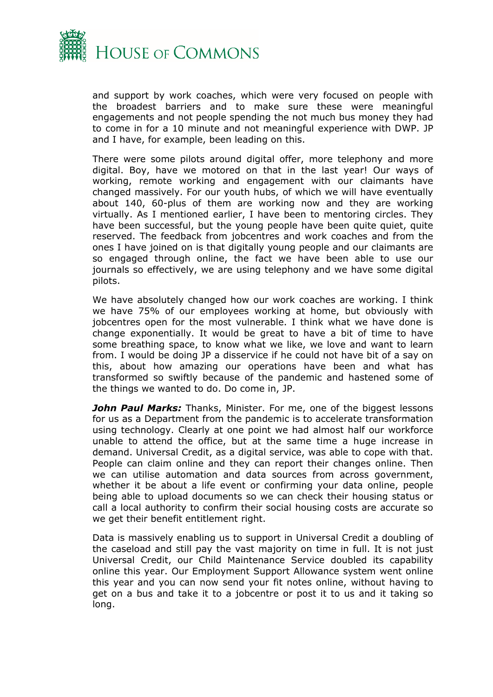

and support by work coaches, which were very focused on people with the broadest barriers and to make sure these were meaningful engagements and not people spending the not much bus money they had to come in for a 10 minute and not meaningful experience with DWP. JP and I have, for example, been leading on this.

There were some pilots around digital offer, more telephony and more digital. Boy, have we motored on that in the last year! Our ways of working, remote working and engagement with our claimants have changed massively. For our youth hubs, of which we will have eventually about 140, 60-plus of them are working now and they are working virtually. As I mentioned earlier, I have been to mentoring circles. They have been successful, but the young people have been quite quiet, quite reserved. The feedback from jobcentres and work coaches and from the ones I have joined on is that digitally young people and our claimants are so engaged through online, the fact we have been able to use our journals so effectively, we are using telephony and we have some digital pilots.

We have absolutely changed how our work coaches are working. I think we have 75% of our employees working at home, but obviously with jobcentres open for the most vulnerable. I think what we have done is change exponentially. It would be great to have a bit of time to have some breathing space, to know what we like, we love and want to learn from. I would be doing JP a disservice if he could not have bit of a say on this, about how amazing our operations have been and what has transformed so swiftly because of the pandemic and hastened some of the things we wanted to do. Do come in, JP.

*John Paul Marks:* Thanks, Minister. For me, one of the biggest lessons for us as a Department from the pandemic is to accelerate transformation using technology. Clearly at one point we had almost half our workforce unable to attend the office, but at the same time a huge increase in demand. Universal Credit, as a digital service, was able to cope with that. People can claim online and they can report their changes online. Then we can utilise automation and data sources from across government, whether it be about a life event or confirming your data online, people being able to upload documents so we can check their housing status or call a local authority to confirm their social housing costs are accurate so we get their benefit entitlement right.

Data is massively enabling us to support in Universal Credit a doubling of the caseload and still pay the vast majority on time in full. It is not just Universal Credit, our Child Maintenance Service doubled its capability online this year. Our Employment Support Allowance system went online this year and you can now send your fit notes online, without having to get on a bus and take it to a jobcentre or post it to us and it taking so long.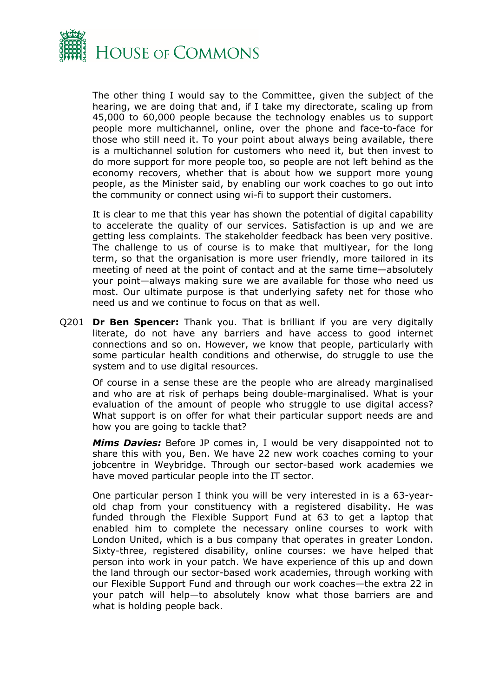

The other thing I would say to the Committee, given the subject of the hearing, we are doing that and, if I take my directorate, scaling up from 45,000 to 60,000 people because the technology enables us to support people more multichannel, online, over the phone and face-to-face for those who still need it. To your point about always being available, there is a multichannel solution for customers who need it, but then invest to do more support for more people too, so people are not left behind as the economy recovers, whether that is about how we support more young people, as the Minister said, by enabling our work coaches to go out into the community or connect using wi-fi to support their customers.

It is clear to me that this year has shown the potential of digital capability to accelerate the quality of our services. Satisfaction is up and we are getting less complaints. The stakeholder feedback has been very positive. The challenge to us of course is to make that multiyear, for the long term, so that the organisation is more user friendly, more tailored in its meeting of need at the point of contact and at the same time—absolutely your point—always making sure we are available for those who need us most. Our ultimate purpose is that underlying safety net for those who need us and we continue to focus on that as well.

Q201 **Dr Ben Spencer:** Thank you. That is brilliant if you are very digitally literate, do not have any barriers and have access to good internet connections and so on. However, we know that people, particularly with some particular health conditions and otherwise, do struggle to use the system and to use digital resources.

Of course in a sense these are the people who are already marginalised and who are at risk of perhaps being double-marginalised. What is your evaluation of the amount of people who struggle to use digital access? What support is on offer for what their particular support needs are and how you are going to tackle that?

*Mims Davies:* Before JP comes in, I would be very disappointed not to share this with you, Ben. We have 22 new work coaches coming to your jobcentre in Weybridge. Through our sector-based work academies we have moved particular people into the IT sector.

One particular person I think you will be very interested in is a 63-yearold chap from your constituency with a registered disability. He was funded through the Flexible Support Fund at 63 to get a laptop that enabled him to complete the necessary online courses to work with London United, which is a bus company that operates in greater London. Sixty-three, registered disability, online courses: we have helped that person into work in your patch. We have experience of this up and down the land through our sector-based work academies, through working with our Flexible Support Fund and through our work coaches—the extra 22 in your patch will help—to absolutely know what those barriers are and what is holding people back.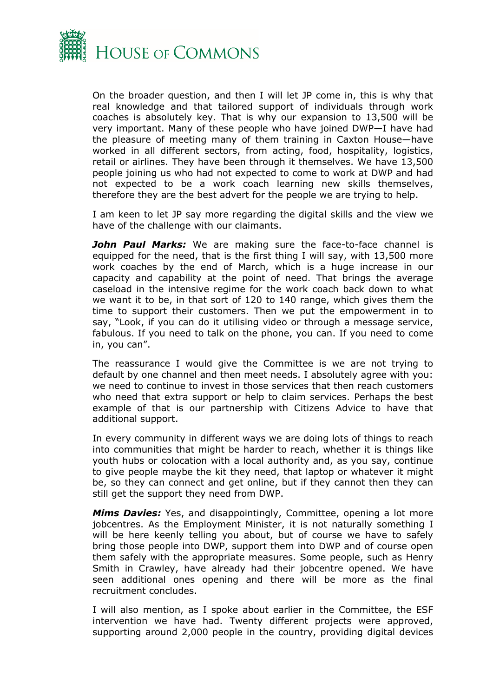

On the broader question, and then I will let JP come in, this is why that real knowledge and that tailored support of individuals through work coaches is absolutely key. That is why our expansion to 13,500 will be very important. Many of these people who have joined DWP—I have had the pleasure of meeting many of them training in Caxton House—have worked in all different sectors, from acting, food, hospitality, logistics, retail or airlines. They have been through it themselves. We have 13,500 people joining us who had not expected to come to work at DWP and had not expected to be a work coach learning new skills themselves, therefore they are the best advert for the people we are trying to help.

I am keen to let JP say more regarding the digital skills and the view we have of the challenge with our claimants.

*John Paul Marks:* We are making sure the face-to-face channel is equipped for the need, that is the first thing I will say, with 13,500 more work coaches by the end of March, which is a huge increase in our capacity and capability at the point of need. That brings the average caseload in the intensive regime for the work coach back down to what we want it to be, in that sort of 120 to 140 range, which gives them the time to support their customers. Then we put the empowerment in to say, "Look, if you can do it utilising video or through a message service, fabulous. If you need to talk on the phone, you can. If you need to come in, you can".

The reassurance I would give the Committee is we are not trying to default by one channel and then meet needs. I absolutely agree with you: we need to continue to invest in those services that then reach customers who need that extra support or help to claim services. Perhaps the best example of that is our partnership with Citizens Advice to have that additional support.

In every community in different ways we are doing lots of things to reach into communities that might be harder to reach, whether it is things like youth hubs or colocation with a local authority and, as you say, continue to give people maybe the kit they need, that laptop or whatever it might be, so they can connect and get online, but if they cannot then they can still get the support they need from DWP.

*Mims Davies:* Yes, and disappointingly, Committee, opening a lot more jobcentres. As the Employment Minister, it is not naturally something I will be here keenly telling you about, but of course we have to safely bring those people into DWP, support them into DWP and of course open them safely with the appropriate measures. Some people, such as Henry Smith in Crawley, have already had their jobcentre opened. We have seen additional ones opening and there will be more as the final recruitment concludes.

I will also mention, as I spoke about earlier in the Committee, the ESF intervention we have had. Twenty different projects were approved, supporting around 2,000 people in the country, providing digital devices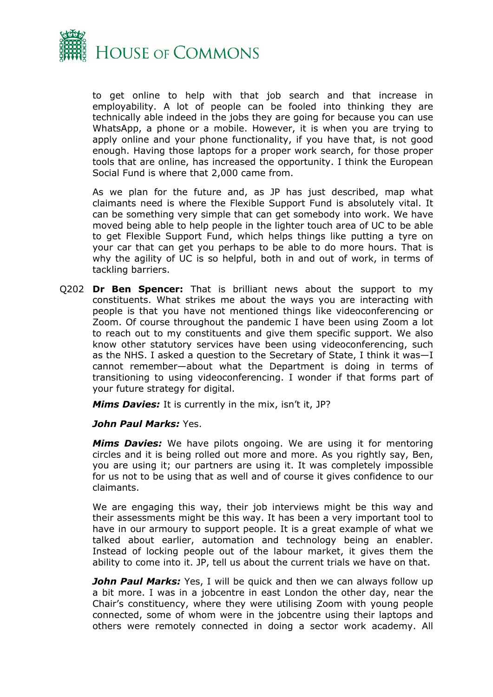

to get online to help with that job search and that increase in employability. A lot of people can be fooled into thinking they are technically able indeed in the jobs they are going for because you can use WhatsApp, a phone or a mobile. However, it is when you are trying to apply online and your phone functionality, if you have that, is not good enough. Having those laptops for a proper work search, for those proper tools that are online, has increased the opportunity. I think the European Social Fund is where that 2,000 came from.

As we plan for the future and, as JP has just described, map what claimants need is where the Flexible Support Fund is absolutely vital. It can be something very simple that can get somebody into work. We have moved being able to help people in the lighter touch area of UC to be able to get Flexible Support Fund, which helps things like putting a tyre on your car that can get you perhaps to be able to do more hours. That is why the agility of UC is so helpful, both in and out of work, in terms of tackling barriers.

Q202 **Dr Ben Spencer:** That is brilliant news about the support to my constituents. What strikes me about the ways you are interacting with people is that you have not mentioned things like videoconferencing or Zoom. Of course throughout the pandemic I have been using Zoom a lot to reach out to my constituents and give them specific support. We also know other statutory services have been using videoconferencing, such as the NHS. I asked a question to the Secretary of State, I think it was—I cannot remember—about what the Department is doing in terms of transitioning to using videoconferencing. I wonder if that forms part of your future strategy for digital.

*Mims Davies:* It is currently in the mix, isn't it, JP?

## *John Paul Marks:* Yes.

*Mims Davies:* We have pilots ongoing. We are using it for mentoring circles and it is being rolled out more and more. As you rightly say, Ben, you are using it; our partners are using it. It was completely impossible for us not to be using that as well and of course it gives confidence to our claimants.

We are engaging this way, their job interviews might be this way and their assessments might be this way. It has been a very important tool to have in our armoury to support people. It is a great example of what we talked about earlier, automation and technology being an enabler. Instead of locking people out of the labour market, it gives them the ability to come into it. JP, tell us about the current trials we have on that.

**John Paul Marks:** Yes, I will be quick and then we can always follow up a bit more. I was in a jobcentre in east London the other day, near the Chair's constituency, where they were utilising Zoom with young people connected, some of whom were in the jobcentre using their laptops and others were remotely connected in doing a sector work academy. All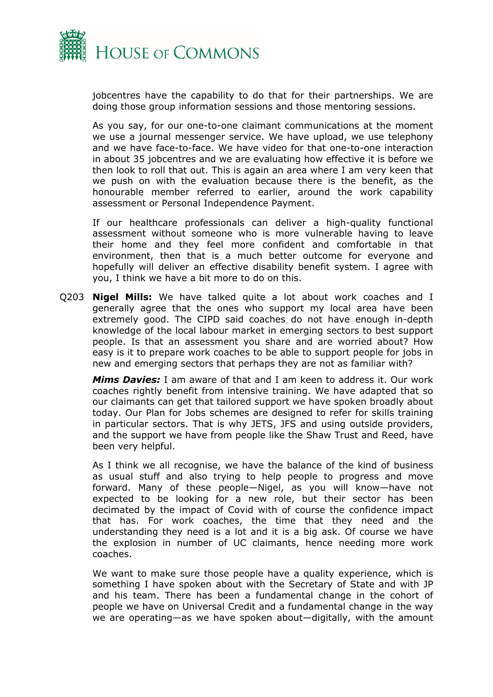

jobcentres have the capability to do that for their partnerships. We are doing those group information sessions and those mentoring sessions.

As you say, for our one-to-one claimant communications at the moment we use a journal messenger service. We have upload, we use telephony and we have face-to-face. We have video for that one-to-one interaction in about 35 jobcentres and we are evaluating how effective it is before we then look to roll that out. This is again an area where I am very keen that we push on with the evaluation because there is the benefit, as the honourable member referred to earlier, around the work capability assessment or Personal Independence Payment.

If our healthcare professionals can deliver a high-quality functional assessment without someone who is more vulnerable having to leave their home and they feel more confident and comfortable in that environment, then that is a much better outcome for everyone and hopefully will deliver an effective disability benefit system. I agree with you, I think we have a bit more to do on this.

Q203 **Nigel Mills:** We have talked quite a lot about work coaches and I generally agree that the ones who support my local area have been extremely good. The CIPD said coaches do not have enough in-depth knowledge of the local labour market in emerging sectors to best support people. Is that an assessment you share and are worried about? How easy is it to prepare work coaches to be able to support people for jobs in new and emerging sectors that perhaps they are not as familiar with?

*Mims Davies:* I am aware of that and I am keen to address it. Our work coaches rightly benefit from intensive training. We have adapted that so our claimants can get that tailored support we have spoken broadly about today. Our Plan for Jobs schemes are designed to refer for skills training in particular sectors. That is why JETS, JFS and using outside providers, and the support we have from people like the Shaw Trust and Reed, have been very helpful.

As I think we all recognise, we have the balance of the kind of business as usual stuff and also trying to help people to progress and move forward. Many of these people—Nigel, as you will know—have not expected to be looking for a new role, but their sector has been decimated by the impact of Covid with of course the confidence impact that has. For work coaches, the time that they need and the understanding they need is a lot and it is a big ask. Of course we have the explosion in number of UC claimants, hence needing more work coaches.

We want to make sure those people have a quality experience, which is something I have spoken about with the Secretary of State and with JP and his team. There has been a fundamental change in the cohort of people we have on Universal Credit and a fundamental change in the way we are operating—as we have spoken about—digitally, with the amount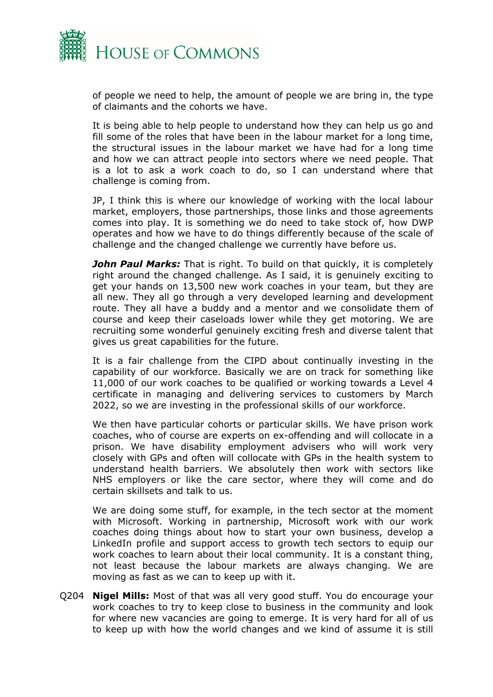

of people we need to help, the amount of people we are bring in, the type of claimants and the cohorts we have.

It is being able to help people to understand how they can help us go and fill some of the roles that have been in the labour market for a long time, the structural issues in the labour market we have had for a long time and how we can attract people into sectors where we need people. That is a lot to ask a work coach to do, so I can understand where that challenge is coming from.

JP, I think this is where our knowledge of working with the local labour market, employers, those partnerships, those links and those agreements comes into play. It is something we do need to take stock of, how DWP operates and how we have to do things differently because of the scale of challenge and the changed challenge we currently have before us.

*John Paul Marks:* That is right. To build on that quickly, it is completely right around the changed challenge. As I said, it is genuinely exciting to get your hands on 13,500 new work coaches in your team, but they are all new. They all go through a very developed learning and development route. They all have a buddy and a mentor and we consolidate them of course and keep their caseloads lower while they get motoring. We are recruiting some wonderful genuinely exciting fresh and diverse talent that gives us great capabilities for the future.

It is a fair challenge from the CIPD about continually investing in the capability of our workforce. Basically we are on track for something like 11,000 of our work coaches to be qualified or working towards a Level 4 certificate in managing and delivering services to customers by March 2022, so we are investing in the professional skills of our workforce.

We then have particular cohorts or particular skills. We have prison work coaches, who of course are experts on ex-offending and will collocate in a prison. We have disability employment advisers who will work very closely with GPs and often will collocate with GPs in the health system to understand health barriers. We absolutely then work with sectors like NHS employers or like the care sector, where they will come and do certain skillsets and talk to us.

We are doing some stuff, for example, in the tech sector at the moment with Microsoft. Working in partnership, Microsoft work with our work coaches doing things about how to start your own business, develop a LinkedIn profile and support access to growth tech sectors to equip our work coaches to learn about their local community. It is a constant thing, not least because the labour markets are always changing. We are moving as fast as we can to keep up with it.

Q204 **Nigel Mills:** Most of that was all very good stuff. You do encourage your work coaches to try to keep close to business in the community and look for where new vacancies are going to emerge. It is very hard for all of us to keep up with how the world changes and we kind of assume it is still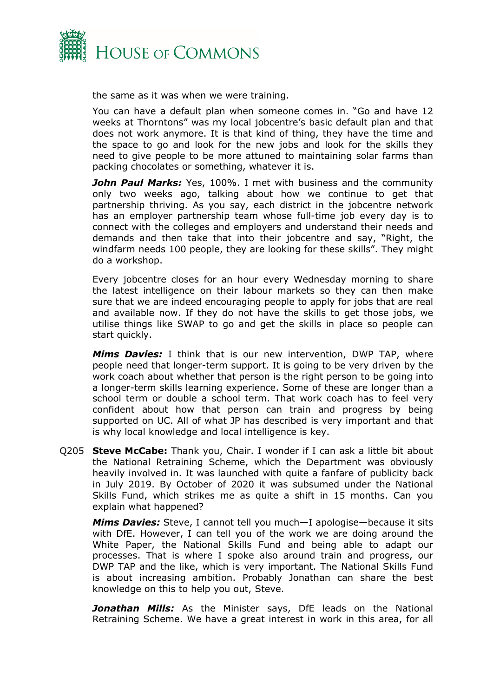

the same as it was when we were training.

You can have a default plan when someone comes in. "Go and have 12 weeks at Thorntons" was my local jobcentre's basic default plan and that does not work anymore. It is that kind of thing, they have the time and the space to go and look for the new jobs and look for the skills they need to give people to be more attuned to maintaining solar farms than packing chocolates or something, whatever it is.

*John Paul Marks:* Yes, 100%. I met with business and the community only two weeks ago, talking about how we continue to get that partnership thriving. As you say, each district in the jobcentre network has an employer partnership team whose full-time job every day is to connect with the colleges and employers and understand their needs and demands and then take that into their jobcentre and say, "Right, the windfarm needs 100 people, they are looking for these skills". They might do a workshop.

Every jobcentre closes for an hour every Wednesday morning to share the latest intelligence on their labour markets so they can then make sure that we are indeed encouraging people to apply for jobs that are real and available now. If they do not have the skills to get those jobs, we utilise things like SWAP to go and get the skills in place so people can start quickly.

*Mims Davies:* I think that is our new intervention, DWP TAP, where people need that longer-term support. It is going to be very driven by the work coach about whether that person is the right person to be going into a longer-term skills learning experience. Some of these are longer than a school term or double a school term. That work coach has to feel very confident about how that person can train and progress by being supported on UC. All of what JP has described is very important and that is why local knowledge and local intelligence is key.

Q205 **Steve McCabe:** Thank you, Chair. I wonder if I can ask a little bit about the National Retraining Scheme, which the Department was obviously heavily involved in. It was launched with quite a fanfare of publicity back in July 2019. By October of 2020 it was subsumed under the National Skills Fund, which strikes me as quite a shift in 15 months. Can you explain what happened?

*Mims Davies:* Steve, I cannot tell you much—I apologise—because it sits with DfE. However, I can tell you of the work we are doing around the White Paper, the National Skills Fund and being able to adapt our processes. That is where I spoke also around train and progress, our DWP TAP and the like, which is very important. The National Skills Fund is about increasing ambition. Probably Jonathan can share the best knowledge on this to help you out, Steve.

*Jonathan Mills:* As the Minister says, DfE leads on the National Retraining Scheme. We have a great interest in work in this area, for all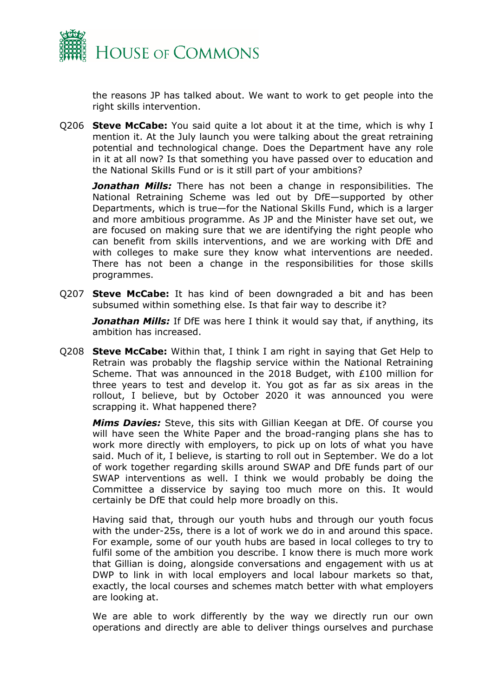

the reasons JP has talked about. We want to work to get people into the right skills intervention.

Q206 **Steve McCabe:** You said quite a lot about it at the time, which is why I mention it. At the July launch you were talking about the great retraining potential and technological change. Does the Department have any role in it at all now? Is that something you have passed over to education and the National Skills Fund or is it still part of your ambitions?

*Jonathan Mills:* There has not been a change in responsibilities. The National Retraining Scheme was led out by DfE—supported by other Departments, which is true—for the National Skills Fund, which is a larger and more ambitious programme. As JP and the Minister have set out, we are focused on making sure that we are identifying the right people who can benefit from skills interventions, and we are working with DfE and with colleges to make sure they know what interventions are needed. There has not been a change in the responsibilities for those skills programmes.

Q207 **Steve McCabe:** It has kind of been downgraded a bit and has been subsumed within something else. Is that fair way to describe it?

*Jonathan Mills:* If DfE was here I think it would say that, if anything, its ambition has increased.

Q208 **Steve McCabe:** Within that, I think I am right in saying that Get Help to Retrain was probably the flagship service within the National Retraining Scheme. That was announced in the 2018 Budget, with £100 million for three years to test and develop it. You got as far as six areas in the rollout, I believe, but by October 2020 it was announced you were scrapping it. What happened there?

*Mims Davies:* Steve, this sits with Gillian Keegan at DfE. Of course you will have seen the White Paper and the broad-ranging plans she has to work more directly with employers, to pick up on lots of what you have said. Much of it, I believe, is starting to roll out in September. We do a lot of work together regarding skills around SWAP and DfE funds part of our SWAP interventions as well. I think we would probably be doing the Committee a disservice by saying too much more on this. It would certainly be DfE that could help more broadly on this.

Having said that, through our youth hubs and through our youth focus with the under-25s, there is a lot of work we do in and around this space. For example, some of our youth hubs are based in local colleges to try to fulfil some of the ambition you describe. I know there is much more work that Gillian is doing, alongside conversations and engagement with us at DWP to link in with local employers and local labour markets so that, exactly, the local courses and schemes match better with what employers are looking at.

We are able to work differently by the way we directly run our own operations and directly are able to deliver things ourselves and purchase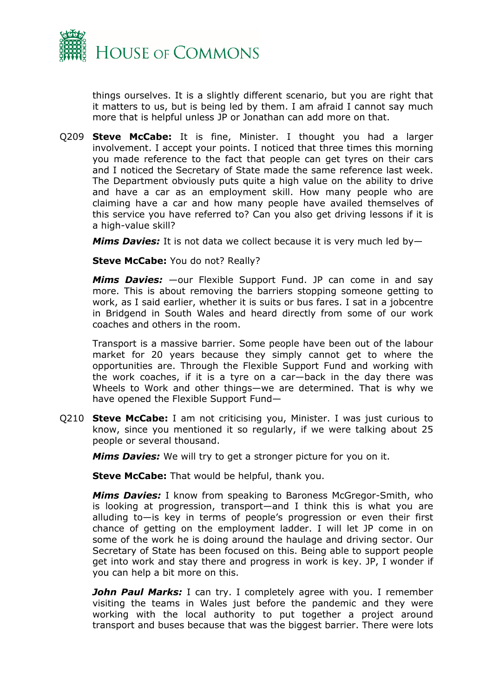

things ourselves. It is a slightly different scenario, but you are right that it matters to us, but is being led by them. I am afraid I cannot say much more that is helpful unless JP or Jonathan can add more on that.

Q209 **Steve McCabe:** It is fine, Minister. I thought you had a larger involvement. I accept your points. I noticed that three times this morning you made reference to the fact that people can get tyres on their cars and I noticed the Secretary of State made the same reference last week. The Department obviously puts quite a high value on the ability to drive and have a car as an employment skill. How many people who are claiming have a car and how many people have availed themselves of this service you have referred to? Can you also get driving lessons if it is a high-value skill?

*Mims Davies:* It is not data we collect because it is very much led by—

**Steve McCabe:** You do not? Really?

*Mims Davies:* —our Flexible Support Fund. JP can come in and say more. This is about removing the barriers stopping someone getting to work, as I said earlier, whether it is suits or bus fares. I sat in a jobcentre in Bridgend in South Wales and heard directly from some of our work coaches and others in the room.

Transport is a massive barrier. Some people have been out of the labour market for 20 years because they simply cannot get to where the opportunities are. Through the Flexible Support Fund and working with the work coaches, if it is a tyre on a car—back in the day there was Wheels to Work and other things—we are determined. That is why we have opened the Flexible Support Fund—

Q210 **Steve McCabe:** I am not criticising you, Minister. I was just curious to know, since you mentioned it so regularly, if we were talking about 25 people or several thousand.

*Mims Davies:* We will try to get a stronger picture for you on it.

**Steve McCabe:** That would be helpful, thank you.

*Mims Davies:* I know from speaking to Baroness McGregor-Smith, who is looking at progression, transport—and I think this is what you are alluding to—is key in terms of people's progression or even their first chance of getting on the employment ladder. I will let JP come in on some of the work he is doing around the haulage and driving sector. Our Secretary of State has been focused on this. Being able to support people get into work and stay there and progress in work is key. JP, I wonder if you can help a bit more on this.

*John Paul Marks:* I can try. I completely agree with you. I remember visiting the teams in Wales just before the pandemic and they were working with the local authority to put together a project around transport and buses because that was the biggest barrier. There were lots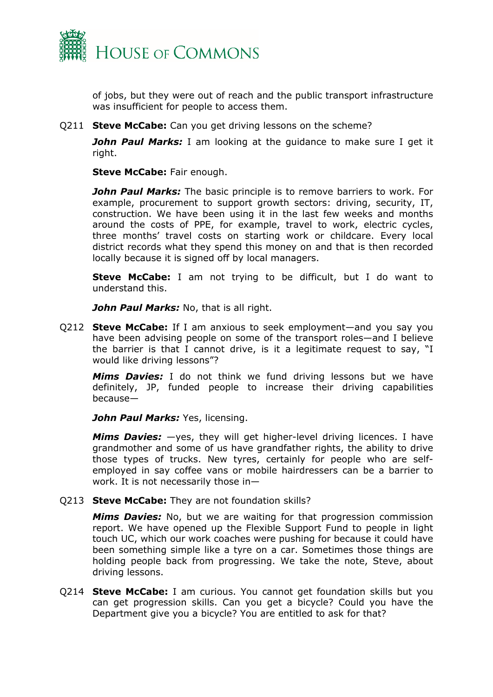

of jobs, but they were out of reach and the public transport infrastructure was insufficient for people to access them.

Q211 **Steve McCabe:** Can you get driving lessons on the scheme?

*John Paul Marks:* I am looking at the guidance to make sure I get it right.

**Steve McCabe:** Fair enough.

*John Paul Marks:* The basic principle is to remove barriers to work. For example, procurement to support growth sectors: driving, security, IT, construction. We have been using it in the last few weeks and months around the costs of PPE, for example, travel to work, electric cycles, three months' travel costs on starting work or childcare. Every local district records what they spend this money on and that is then recorded locally because it is signed off by local managers.

**Steve McCabe:** I am not trying to be difficult, but I do want to understand this.

*John Paul Marks:* No, that is all right.

Q212 **Steve McCabe:** If I am anxious to seek employment—and you say you have been advising people on some of the transport roles—and I believe the barrier is that I cannot drive, is it a legitimate request to say, "I would like driving lessons"?

*Mims Davies:* I do not think we fund driving lessons but we have definitely, JP, funded people to increase their driving capabilities because—

*John Paul Marks:* Yes, licensing.

*Mims Davies:* —yes, they will get higher-level driving licences. I have grandmother and some of us have grandfather rights, the ability to drive those types of trucks. New tyres, certainly for people who are selfemployed in say coffee vans or mobile hairdressers can be a barrier to work. It is not necessarily those in—

Q213 **Steve McCabe:** They are not foundation skills?

*Mims Davies:* No, but we are waiting for that progression commission report. We have opened up the Flexible Support Fund to people in light touch UC, which our work coaches were pushing for because it could have been something simple like a tyre on a car. Sometimes those things are holding people back from progressing. We take the note, Steve, about driving lessons.

Q214 **Steve McCabe:** I am curious. You cannot get foundation skills but you can get progression skills. Can you get a bicycle? Could you have the Department give you a bicycle? You are entitled to ask for that?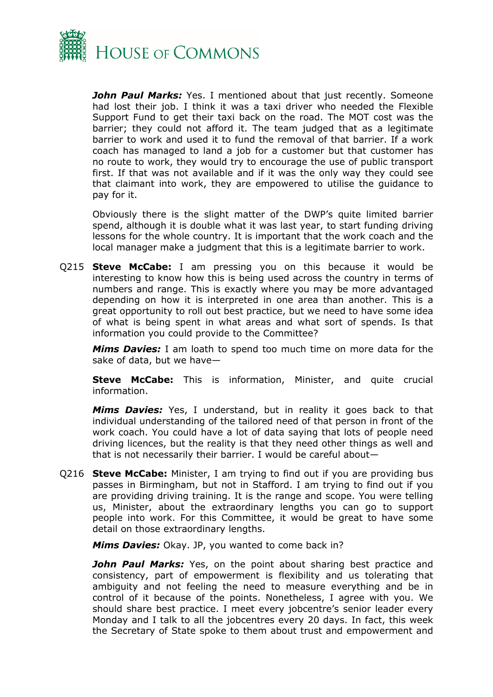

**John Paul Marks:** Yes. I mentioned about that just recently. Someone had lost their job. I think it was a taxi driver who needed the Flexible Support Fund to get their taxi back on the road. The MOT cost was the barrier; they could not afford it. The team judged that as a legitimate barrier to work and used it to fund the removal of that barrier. If a work coach has managed to land a job for a customer but that customer has no route to work, they would try to encourage the use of public transport first. If that was not available and if it was the only way they could see that claimant into work, they are empowered to utilise the guidance to pay for it.

Obviously there is the slight matter of the DWP's quite limited barrier spend, although it is double what it was last year, to start funding driving lessons for the whole country. It is important that the work coach and the local manager make a judgment that this is a legitimate barrier to work.

Q215 **Steve McCabe:** I am pressing you on this because it would be interesting to know how this is being used across the country in terms of numbers and range. This is exactly where you may be more advantaged depending on how it is interpreted in one area than another. This is a great opportunity to roll out best practice, but we need to have some idea of what is being spent in what areas and what sort of spends. Is that information you could provide to the Committee?

*Mims Davies:* I am loath to spend too much time on more data for the sake of data, but we have—

**Steve McCabe:** This is information, Minister, and quite crucial information.

*Mims Davies:* Yes, I understand, but in reality it goes back to that individual understanding of the tailored need of that person in front of the work coach. You could have a lot of data saying that lots of people need driving licences, but the reality is that they need other things as well and that is not necessarily their barrier. I would be careful about—

Q216 **Steve McCabe:** Minister, I am trying to find out if you are providing bus passes in Birmingham, but not in Stafford. I am trying to find out if you are providing driving training. It is the range and scope. You were telling us, Minister, about the extraordinary lengths you can go to support people into work. For this Committee, it would be great to have some detail on those extraordinary lengths.

*Mims Davies:* Okay. JP, you wanted to come back in?

**John Paul Marks:** Yes, on the point about sharing best practice and consistency, part of empowerment is flexibility and us tolerating that ambiguity and not feeling the need to measure everything and be in control of it because of the points. Nonetheless, I agree with you. We should share best practice. I meet every jobcentre's senior leader every Monday and I talk to all the jobcentres every 20 days. In fact, this week the Secretary of State spoke to them about trust and empowerment and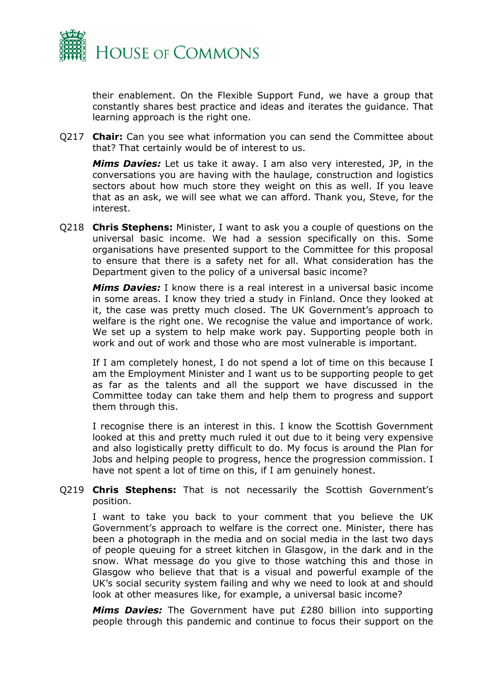

their enablement. On the Flexible Support Fund, we have a group that constantly shares best practice and ideas and iterates the guidance. That learning approach is the right one.

Q217 **Chair:** Can you see what information you can send the Committee about that? That certainly would be of interest to us.

*Mims Davies:* Let us take it away. I am also very interested, JP, in the conversations you are having with the haulage, construction and logistics sectors about how much store they weight on this as well. If you leave that as an ask, we will see what we can afford. Thank you, Steve, for the interest.

Q218 **Chris Stephens:** Minister, I want to ask you a couple of questions on the universal basic income. We had a session specifically on this. Some organisations have presented support to the Committee for this proposal to ensure that there is a safety net for all. What consideration has the Department given to the policy of a universal basic income?

*Mims Davies:* I know there is a real interest in a universal basic income in some areas. I know they tried a study in Finland. Once they looked at it, the case was pretty much closed. The UK Government's approach to welfare is the right one. We recognise the value and importance of work. We set up a system to help make work pay. Supporting people both in work and out of work and those who are most vulnerable is important.

If I am completely honest, I do not spend a lot of time on this because I am the Employment Minister and I want us to be supporting people to get as far as the talents and all the support we have discussed in the Committee today can take them and help them to progress and support them through this.

I recognise there is an interest in this. I know the Scottish Government looked at this and pretty much ruled it out due to it being very expensive and also logistically pretty difficult to do. My focus is around the Plan for Jobs and helping people to progress, hence the progression commission. I have not spent a lot of time on this, if I am genuinely honest.

## Q219 **Chris Stephens:** That is not necessarily the Scottish Government's position.

I want to take you back to your comment that you believe the UK Government's approach to welfare is the correct one. Minister, there has been a photograph in the media and on social media in the last two days of people queuing for a street kitchen in Glasgow, in the dark and in the snow. What message do you give to those watching this and those in Glasgow who believe that that is a visual and powerful example of the UK's social security system failing and why we need to look at and should look at other measures like, for example, a universal basic income?

*Mims Davies:* The Government have put £280 billion into supporting people through this pandemic and continue to focus their support on the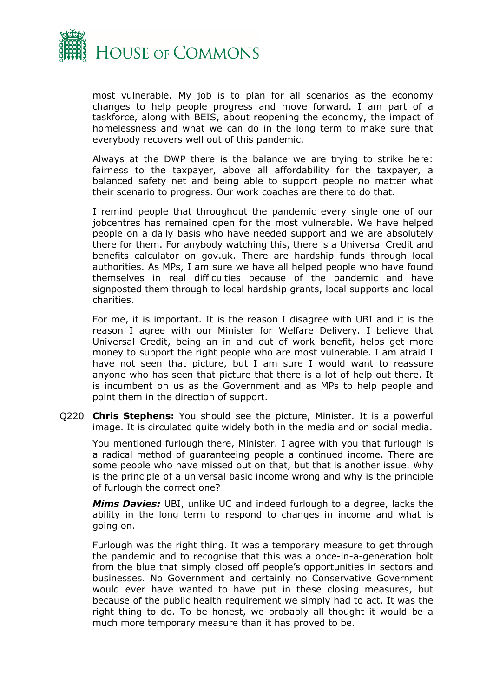

most vulnerable. My job is to plan for all scenarios as the economy changes to help people progress and move forward. I am part of a taskforce, along with BEIS, about reopening the economy, the impact of homelessness and what we can do in the long term to make sure that everybody recovers well out of this pandemic.

Always at the DWP there is the balance we are trying to strike here: fairness to the taxpayer, above all affordability for the taxpayer, a balanced safety net and being able to support people no matter what their scenario to progress. Our work coaches are there to do that.

I remind people that throughout the pandemic every single one of our jobcentres has remained open for the most vulnerable. We have helped people on a daily basis who have needed support and we are absolutely there for them. For anybody watching this, there is a Universal Credit and benefits calculator on gov.uk. There are hardship funds through local authorities. As MPs, I am sure we have all helped people who have found themselves in real difficulties because of the pandemic and have signposted them through to local hardship grants, local supports and local charities.

For me, it is important. It is the reason I disagree with UBI and it is the reason I agree with our Minister for Welfare Delivery. I believe that Universal Credit, being an in and out of work benefit, helps get more money to support the right people who are most vulnerable. I am afraid I have not seen that picture, but I am sure I would want to reassure anyone who has seen that picture that there is a lot of help out there. It is incumbent on us as the Government and as MPs to help people and point them in the direction of support.

Q220 **Chris Stephens:** You should see the picture, Minister. It is a powerful image. It is circulated quite widely both in the media and on social media.

You mentioned furlough there, Minister. I agree with you that furlough is a radical method of guaranteeing people a continued income. There are some people who have missed out on that, but that is another issue. Why is the principle of a universal basic income wrong and why is the principle of furlough the correct one?

*Mims Davies:* UBI, unlike UC and indeed furlough to a degree, lacks the ability in the long term to respond to changes in income and what is going on.

Furlough was the right thing. It was a temporary measure to get through the pandemic and to recognise that this was a once-in-a-generation bolt from the blue that simply closed off people's opportunities in sectors and businesses. No Government and certainly no Conservative Government would ever have wanted to have put in these closing measures, but because of the public health requirement we simply had to act. It was the right thing to do. To be honest, we probably all thought it would be a much more temporary measure than it has proved to be.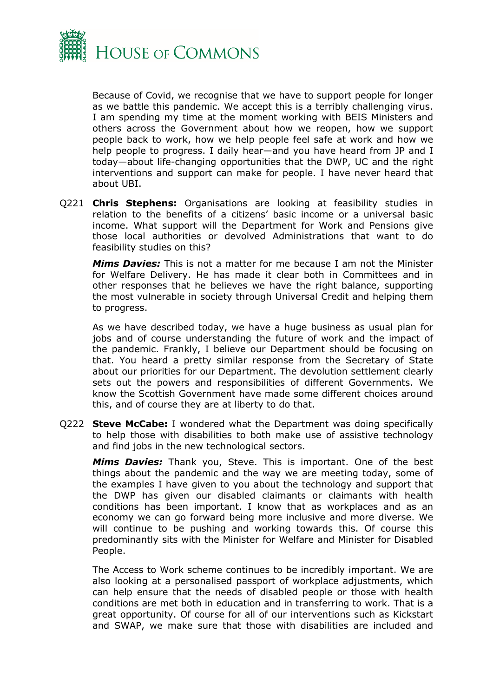

Because of Covid, we recognise that we have to support people for longer as we battle this pandemic. We accept this is a terribly challenging virus. I am spending my time at the moment working with BEIS Ministers and others across the Government about how we reopen, how we support people back to work, how we help people feel safe at work and how we help people to progress. I daily hear—and you have heard from JP and I today—about life-changing opportunities that the DWP, UC and the right interventions and support can make for people. I have never heard that about UBI.

Q221 **Chris Stephens:** Organisations are looking at feasibility studies in relation to the benefits of a citizens' basic income or a universal basic income. What support will the Department for Work and Pensions give those local authorities or devolved Administrations that want to do feasibility studies on this?

*Mims Davies:* This is not a matter for me because I am not the Minister for Welfare Delivery. He has made it clear both in Committees and in other responses that he believes we have the right balance, supporting the most vulnerable in society through Universal Credit and helping them to progress.

As we have described today, we have a huge business as usual plan for jobs and of course understanding the future of work and the impact of the pandemic. Frankly, I believe our Department should be focusing on that. You heard a pretty similar response from the Secretary of State about our priorities for our Department. The devolution settlement clearly sets out the powers and responsibilities of different Governments. We know the Scottish Government have made some different choices around this, and of course they are at liberty to do that.

Q222 **Steve McCabe:** I wondered what the Department was doing specifically to help those with disabilities to both make use of assistive technology and find jobs in the new technological sectors.

*Mims Davies:* Thank you, Steve. This is important. One of the best things about the pandemic and the way we are meeting today, some of the examples I have given to you about the technology and support that the DWP has given our disabled claimants or claimants with health conditions has been important. I know that as workplaces and as an economy we can go forward being more inclusive and more diverse. We will continue to be pushing and working towards this. Of course this predominantly sits with the Minister for Welfare and Minister for Disabled People.

The Access to Work scheme continues to be incredibly important. We are also looking at a personalised passport of workplace adjustments, which can help ensure that the needs of disabled people or those with health conditions are met both in education and in transferring to work. That is a great opportunity. Of course for all of our interventions such as Kickstart and SWAP, we make sure that those with disabilities are included and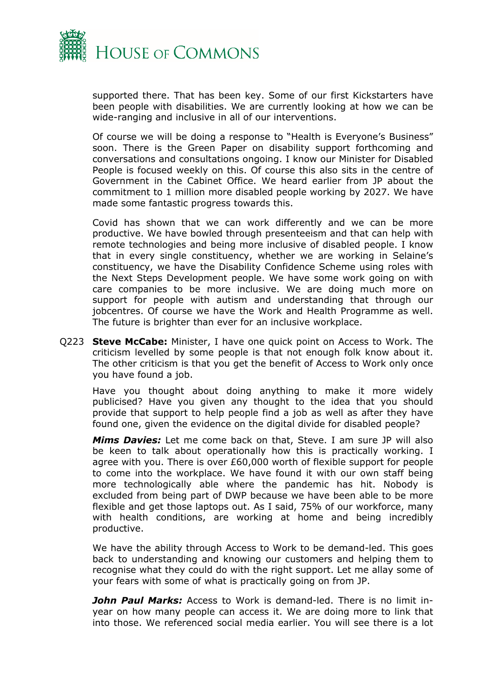

supported there. That has been key. Some of our first Kickstarters have been people with disabilities. We are currently looking at how we can be wide-ranging and inclusive in all of our interventions.

Of course we will be doing a response to "Health is Everyone's Business" soon. There is the Green Paper on disability support forthcoming and conversations and consultations ongoing. I know our Minister for Disabled People is focused weekly on this. Of course this also sits in the centre of Government in the Cabinet Office. We heard earlier from JP about the commitment to 1 million more disabled people working by 2027. We have made some fantastic progress towards this.

Covid has shown that we can work differently and we can be more productive. We have bowled through presenteeism and that can help with remote technologies and being more inclusive of disabled people. I know that in every single constituency, whether we are working in Selaine's constituency, we have the Disability Confidence Scheme using roles with the Next Steps Development people. We have some work going on with care companies to be more inclusive. We are doing much more on support for people with autism and understanding that through our jobcentres. Of course we have the Work and Health Programme as well. The future is brighter than ever for an inclusive workplace.

Q223 **Steve McCabe:** Minister, I have one quick point on Access to Work. The criticism levelled by some people is that not enough folk know about it. The other criticism is that you get the benefit of Access to Work only once you have found a job.

Have you thought about doing anything to make it more widely publicised? Have you given any thought to the idea that you should provide that support to help people find a job as well as after they have found one, given the evidence on the digital divide for disabled people?

*Mims Davies:* Let me come back on that, Steve. I am sure JP will also be keen to talk about operationally how this is practically working. I agree with you. There is over £60,000 worth of flexible support for people to come into the workplace. We have found it with our own staff being more technologically able where the pandemic has hit. Nobody is excluded from being part of DWP because we have been able to be more flexible and get those laptops out. As I said, 75% of our workforce, many with health conditions, are working at home and being incredibly productive.

We have the ability through Access to Work to be demand-led. This goes back to understanding and knowing our customers and helping them to recognise what they could do with the right support. Let me allay some of your fears with some of what is practically going on from JP.

*John Paul Marks:* Access to Work is demand-led. There is no limit inyear on how many people can access it. We are doing more to link that into those. We referenced social media earlier. You will see there is a lot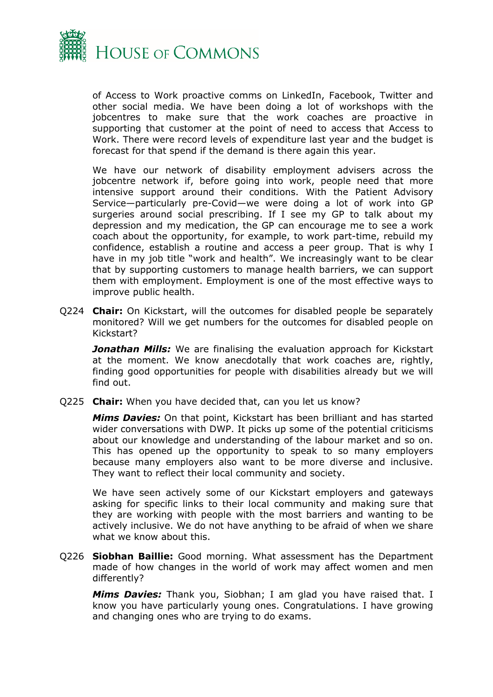

of Access to Work proactive comms on LinkedIn, Facebook, Twitter and other social media. We have been doing a lot of workshops with the jobcentres to make sure that the work coaches are proactive in supporting that customer at the point of need to access that Access to Work. There were record levels of expenditure last year and the budget is forecast for that spend if the demand is there again this year.

We have our network of disability employment advisers across the jobcentre network if, before going into work, people need that more intensive support around their conditions. With the Patient Advisory Service—particularly pre-Covid—we were doing a lot of work into GP surgeries around social prescribing. If I see my GP to talk about my depression and my medication, the GP can encourage me to see a work coach about the opportunity, for example, to work part-time, rebuild my confidence, establish a routine and access a peer group. That is why I have in my job title "work and health". We increasingly want to be clear that by supporting customers to manage health barriers, we can support them with employment. Employment is one of the most effective ways to improve public health.

Q224 **Chair:** On Kickstart, will the outcomes for disabled people be separately monitored? Will we get numbers for the outcomes for disabled people on Kickstart?

*Jonathan Mills:* We are finalising the evaluation approach for Kickstart at the moment. We know anecdotally that work coaches are, rightly, finding good opportunities for people with disabilities already but we will find out.

Q225 **Chair:** When you have decided that, can you let us know?

*Mims Davies:* On that point, Kickstart has been brilliant and has started wider conversations with DWP. It picks up some of the potential criticisms about our knowledge and understanding of the labour market and so on. This has opened up the opportunity to speak to so many employers because many employers also want to be more diverse and inclusive. They want to reflect their local community and society.

We have seen actively some of our Kickstart employers and gateways asking for specific links to their local community and making sure that they are working with people with the most barriers and wanting to be actively inclusive. We do not have anything to be afraid of when we share what we know about this.

Q226 **Siobhan Baillie:** Good morning. What assessment has the Department made of how changes in the world of work may affect women and men differently?

*Mims Davies:* Thank you, Siobhan; I am glad you have raised that. I know you have particularly young ones. Congratulations. I have growing and changing ones who are trying to do exams.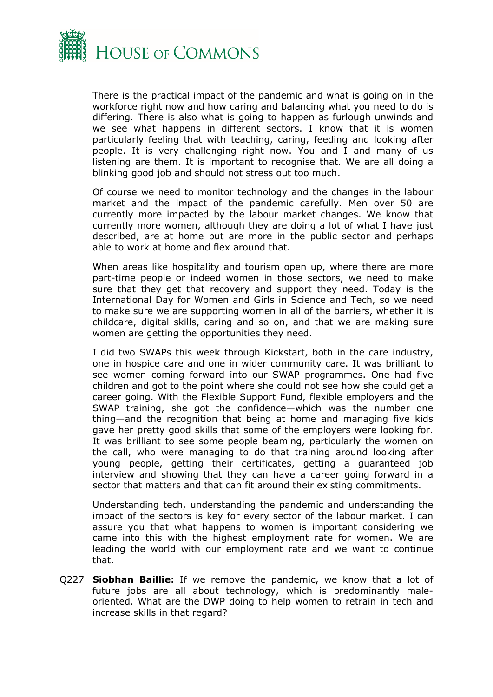

There is the practical impact of the pandemic and what is going on in the workforce right now and how caring and balancing what you need to do is differing. There is also what is going to happen as furlough unwinds and we see what happens in different sectors. I know that it is women particularly feeling that with teaching, caring, feeding and looking after people. It is very challenging right now. You and I and many of us listening are them. It is important to recognise that. We are all doing a blinking good job and should not stress out too much.

Of course we need to monitor technology and the changes in the labour market and the impact of the pandemic carefully. Men over 50 are currently more impacted by the labour market changes. We know that currently more women, although they are doing a lot of what I have just described, are at home but are more in the public sector and perhaps able to work at home and flex around that.

When areas like hospitality and tourism open up, where there are more part-time people or indeed women in those sectors, we need to make sure that they get that recovery and support they need. Today is the International Day for Women and Girls in Science and Tech, so we need to make sure we are supporting women in all of the barriers, whether it is childcare, digital skills, caring and so on, and that we are making sure women are getting the opportunities they need.

I did two SWAPs this week through Kickstart, both in the care industry, one in hospice care and one in wider community care. It was brilliant to see women coming forward into our SWAP programmes. One had five children and got to the point where she could not see how she could get a career going. With the Flexible Support Fund, flexible employers and the SWAP training, she got the confidence—which was the number one thing—and the recognition that being at home and managing five kids gave her pretty good skills that some of the employers were looking for. It was brilliant to see some people beaming, particularly the women on the call, who were managing to do that training around looking after young people, getting their certificates, getting a guaranteed job interview and showing that they can have a career going forward in a sector that matters and that can fit around their existing commitments.

Understanding tech, understanding the pandemic and understanding the impact of the sectors is key for every sector of the labour market. I can assure you that what happens to women is important considering we came into this with the highest employment rate for women. We are leading the world with our employment rate and we want to continue that.

Q227 **Siobhan Baillie:** If we remove the pandemic, we know that a lot of future jobs are all about technology, which is predominantly maleoriented. What are the DWP doing to help women to retrain in tech and increase skills in that regard?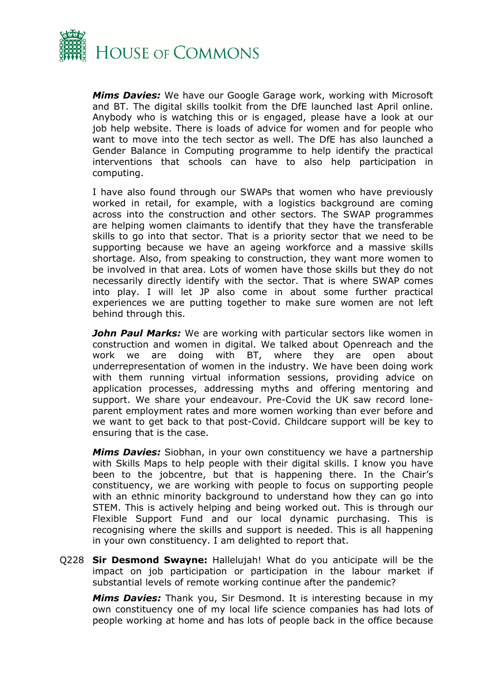

*Mims Davies:* We have our Google Garage work, working with Microsoft and BT. The digital skills toolkit from the DfE launched last April online. Anybody who is watching this or is engaged, please have a look at our job help website. There is loads of advice for women and for people who want to move into the tech sector as well. The DfE has also launched a Gender Balance in Computing programme to help identify the practical interventions that schools can have to also help participation in computing.

I have also found through our SWAPs that women who have previously worked in retail, for example, with a logistics background are coming across into the construction and other sectors. The SWAP programmes are helping women claimants to identify that they have the transferable skills to go into that sector. That is a priority sector that we need to be supporting because we have an ageing workforce and a massive skills shortage. Also, from speaking to construction, they want more women to be involved in that area. Lots of women have those skills but they do not necessarily directly identify with the sector. That is where SWAP comes into play. I will let JP also come in about some further practical experiences we are putting together to make sure women are not left behind through this.

*John Paul Marks:* We are working with particular sectors like women in construction and women in digital. We talked about Openreach and the work we are doing with BT, where they are open about underrepresentation of women in the industry. We have been doing work with them running virtual information sessions, providing advice on application processes, addressing myths and offering mentoring and support. We share your endeavour. Pre-Covid the UK saw record loneparent employment rates and more women working than ever before and we want to get back to that post-Covid. Childcare support will be key to ensuring that is the case.

*Mims Davies:* Siobhan, in your own constituency we have a partnership with Skills Maps to help people with their digital skills. I know you have been to the jobcentre, but that is happening there. In the Chair's constituency, we are working with people to focus on supporting people with an ethnic minority background to understand how they can go into STEM. This is actively helping and being worked out. This is through our Flexible Support Fund and our local dynamic purchasing. This is recognising where the skills and support is needed. This is all happening in your own constituency. I am delighted to report that.

Q228 **Sir Desmond Swayne:** Hallelujah! What do you anticipate will be the impact on job participation or participation in the labour market if substantial levels of remote working continue after the pandemic?

*Mims Davies:* Thank you, Sir Desmond. It is interesting because in my own constituency one of my local life science companies has had lots of people working at home and has lots of people back in the office because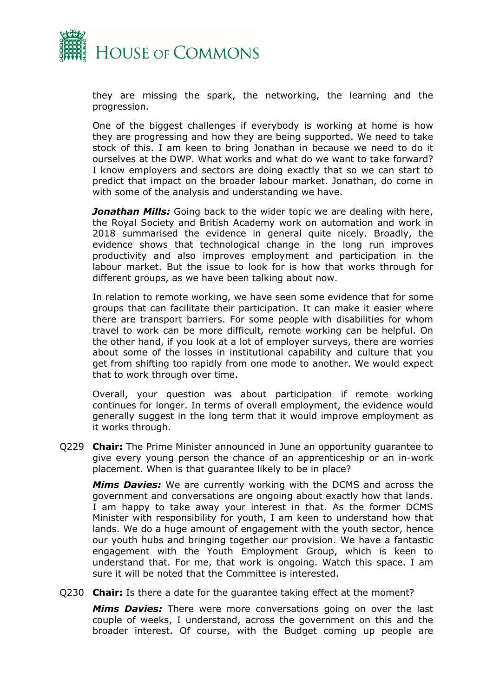

they are missing the spark, the networking, the learning and the progression.

One of the biggest challenges if everybody is working at home is how they are progressing and how they are being supported. We need to take stock of this. I am keen to bring Jonathan in because we need to do it ourselves at the DWP. What works and what do we want to take forward? I know employers and sectors are doing exactly that so we can start to predict that impact on the broader labour market. Jonathan, do come in with some of the analysis and understanding we have.

**Jonathan Mills:** Going back to the wider topic we are dealing with here, the Royal Society and British Academy work on automation and work in 2018 summarised the evidence in general quite nicely. Broadly, the evidence shows that technological change in the long run improves productivity and also improves employment and participation in the labour market. But the issue to look for is how that works through for different groups, as we have been talking about now.

In relation to remote working, we have seen some evidence that for some groups that can facilitate their participation. It can make it easier where there are transport barriers. For some people with disabilities for whom travel to work can be more difficult, remote working can be helpful. On the other hand, if you look at a lot of employer surveys, there are worries about some of the losses in institutional capability and culture that you get from shifting too rapidly from one mode to another. We would expect that to work through over time.

Overall, your question was about participation if remote working continues for longer. In terms of overall employment, the evidence would generally suggest in the long term that it would improve employment as it works through.

Q229 **Chair:** The Prime Minister announced in June an opportunity guarantee to give every young person the chance of an apprenticeship or an in-work placement. When is that guarantee likely to be in place?

*Mims Davies:* We are currently working with the DCMS and across the government and conversations are ongoing about exactly how that lands. I am happy to take away your interest in that. As the former DCMS Minister with responsibility for youth, I am keen to understand how that lands. We do a huge amount of engagement with the youth sector, hence our youth hubs and bringing together our provision. We have a fantastic engagement with the Youth Employment Group, which is keen to understand that. For me, that work is ongoing. Watch this space. I am sure it will be noted that the Committee is interested.

Q230 **Chair:** Is there a date for the guarantee taking effect at the moment?

*Mims Davies:* There were more conversations going on over the last couple of weeks, I understand, across the government on this and the broader interest. Of course, with the Budget coming up people are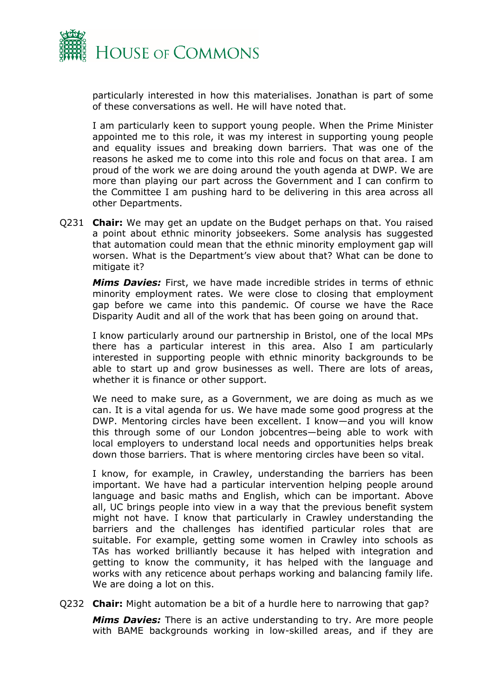

particularly interested in how this materialises. Jonathan is part of some of these conversations as well. He will have noted that.

I am particularly keen to support young people. When the Prime Minister appointed me to this role, it was my interest in supporting young people and equality issues and breaking down barriers. That was one of the reasons he asked me to come into this role and focus on that area. I am proud of the work we are doing around the youth agenda at DWP. We are more than playing our part across the Government and I can confirm to the Committee I am pushing hard to be delivering in this area across all other Departments.

Q231 **Chair:** We may get an update on the Budget perhaps on that. You raised a point about ethnic minority jobseekers. Some analysis has suggested that automation could mean that the ethnic minority employment gap will worsen. What is the Department's view about that? What can be done to mitigate it?

*Mims Davies:* First, we have made incredible strides in terms of ethnic minority employment rates. We were close to closing that employment gap before we came into this pandemic. Of course we have the Race Disparity Audit and all of the work that has been going on around that.

I know particularly around our partnership in Bristol, one of the local MPs there has a particular interest in this area. Also I am particularly interested in supporting people with ethnic minority backgrounds to be able to start up and grow businesses as well. There are lots of areas, whether it is finance or other support.

We need to make sure, as a Government, we are doing as much as we can. It is a vital agenda for us. We have made some good progress at the DWP. Mentoring circles have been excellent. I know—and you will know this through some of our London jobcentres—being able to work with local employers to understand local needs and opportunities helps break down those barriers. That is where mentoring circles have been so vital.

I know, for example, in Crawley, understanding the barriers has been important. We have had a particular intervention helping people around language and basic maths and English, which can be important. Above all, UC brings people into view in a way that the previous benefit system might not have. I know that particularly in Crawley understanding the barriers and the challenges has identified particular roles that are suitable. For example, getting some women in Crawley into schools as TAs has worked brilliantly because it has helped with integration and getting to know the community, it has helped with the language and works with any reticence about perhaps working and balancing family life. We are doing a lot on this.

Q232 **Chair:** Might automation be a bit of a hurdle here to narrowing that gap?

*Mims Davies:* There is an active understanding to try. Are more people with BAME backgrounds working in low-skilled areas, and if they are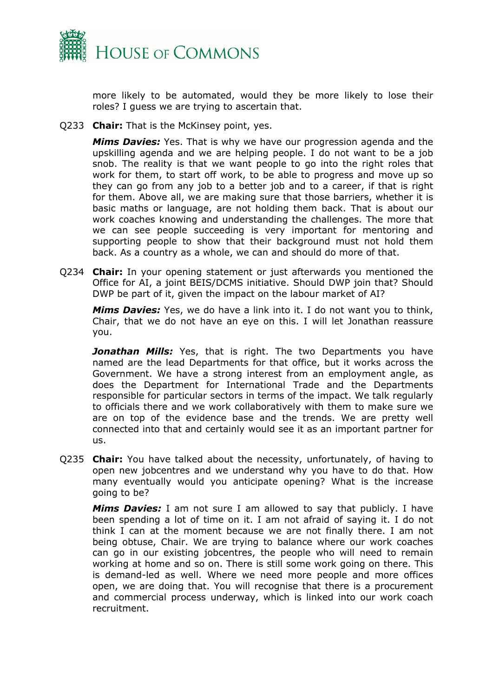

more likely to be automated, would they be more likely to lose their roles? I guess we are trying to ascertain that.

Q233 **Chair:** That is the McKinsey point, yes.

*Mims Davies:* Yes. That is why we have our progression agenda and the upskilling agenda and we are helping people. I do not want to be a job snob. The reality is that we want people to go into the right roles that work for them, to start off work, to be able to progress and move up so they can go from any job to a better job and to a career, if that is right for them. Above all, we are making sure that those barriers, whether it is basic maths or language, are not holding them back. That is about our work coaches knowing and understanding the challenges. The more that we can see people succeeding is very important for mentoring and supporting people to show that their background must not hold them back. As a country as a whole, we can and should do more of that.

Q234 **Chair:** In your opening statement or just afterwards you mentioned the Office for AI, a joint BEIS/DCMS initiative. Should DWP join that? Should DWP be part of it, given the impact on the labour market of AI?

*Mims Davies:* Yes, we do have a link into it. I do not want you to think, Chair, that we do not have an eye on this. I will let Jonathan reassure you.

**Jonathan Mills:** Yes, that is right. The two Departments you have named are the lead Departments for that office, but it works across the Government. We have a strong interest from an employment angle, as does the Department for International Trade and the Departments responsible for particular sectors in terms of the impact. We talk regularly to officials there and we work collaboratively with them to make sure we are on top of the evidence base and the trends. We are pretty well connected into that and certainly would see it as an important partner for us.

Q235 **Chair:** You have talked about the necessity, unfortunately, of having to open new jobcentres and we understand why you have to do that. How many eventually would you anticipate opening? What is the increase going to be?

*Mims Davies:* I am not sure I am allowed to say that publicly. I have been spending a lot of time on it. I am not afraid of saying it. I do not think I can at the moment because we are not finally there. I am not being obtuse, Chair. We are trying to balance where our work coaches can go in our existing jobcentres, the people who will need to remain working at home and so on. There is still some work going on there. This is demand-led as well. Where we need more people and more offices open, we are doing that. You will recognise that there is a procurement and commercial process underway, which is linked into our work coach recruitment.